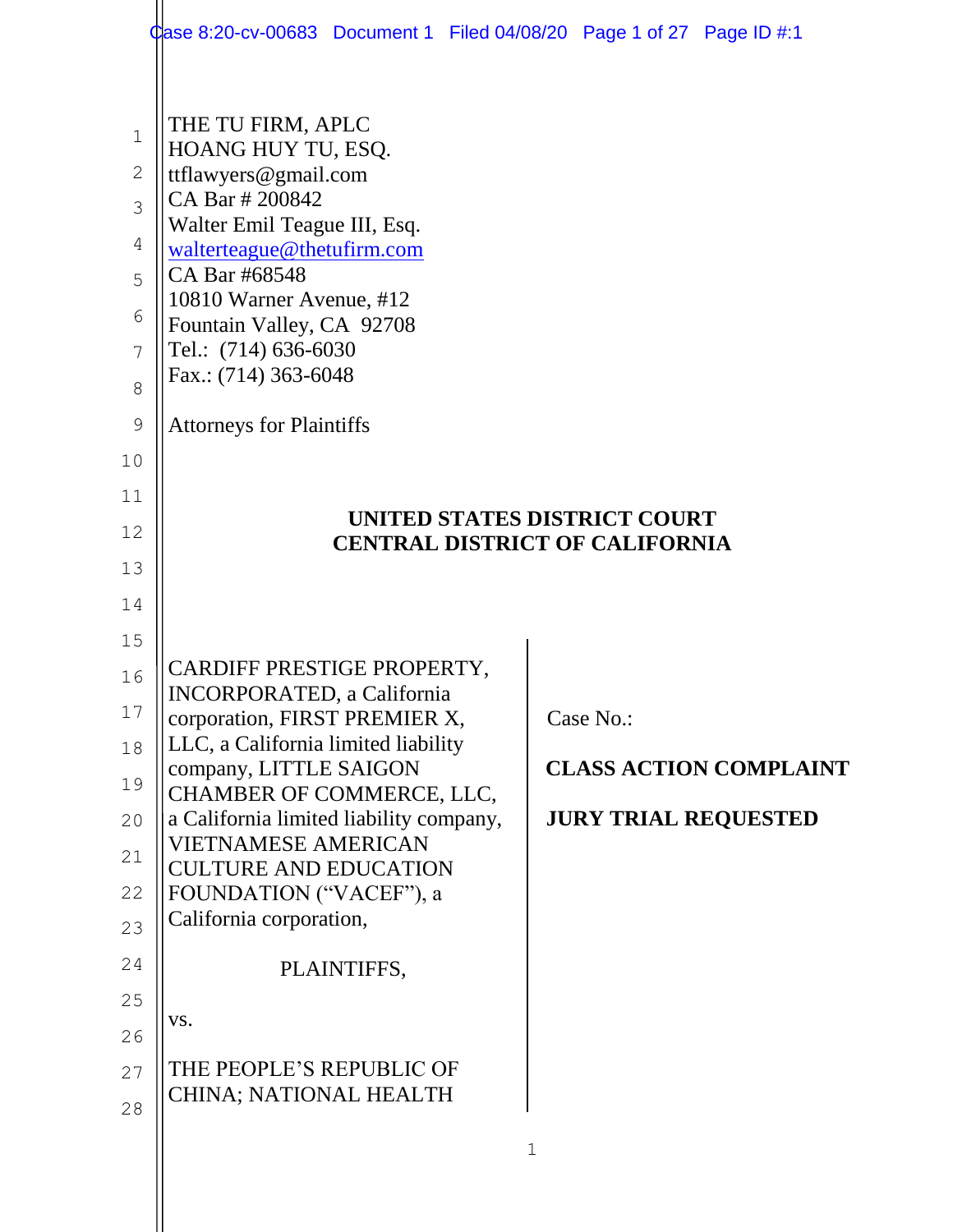|                                                                    | Case 8:20-cv-00683 Document 1 Filed 04/08/20 Page 1 of 27 Page ID #:1                                                                                                                                                                                                      |           |                               |
|--------------------------------------------------------------------|----------------------------------------------------------------------------------------------------------------------------------------------------------------------------------------------------------------------------------------------------------------------------|-----------|-------------------------------|
| $1\,$<br>$\sqrt{2}$<br>3<br>4<br>5<br>6<br>7<br>8<br>$\mathcal{G}$ | THE TU FIRM, APLC<br>HOANG HUY TU, ESQ.<br>ttflawyers@gmail.com<br>CA Bar # 200842<br>Walter Emil Teague III, Esq.<br>walterteague@thetufirm.com<br>CA Bar #68548<br>10810 Warner Avenue, #12<br>Fountain Valley, CA 92708<br>Tel.: (714) 636-6030<br>Fax.: (714) 363-6048 |           |                               |
|                                                                    | <b>Attorneys for Plaintiffs</b>                                                                                                                                                                                                                                            |           |                               |
| 10<br>11                                                           |                                                                                                                                                                                                                                                                            |           |                               |
| 12                                                                 | UNITED STATES DISTRICT COURT                                                                                                                                                                                                                                               |           |                               |
| 13                                                                 | <b>CENTRAL DISTRICT OF CALIFORNIA</b>                                                                                                                                                                                                                                      |           |                               |
| 14                                                                 |                                                                                                                                                                                                                                                                            |           |                               |
| 15                                                                 |                                                                                                                                                                                                                                                                            |           |                               |
| 16                                                                 | CARDIFF PRESTIGE PROPERTY,                                                                                                                                                                                                                                                 |           |                               |
| 17                                                                 | NCORPORATED, a California                                                                                                                                                                                                                                                  |           |                               |
| 18                                                                 | corporation, FIRST PREMIER X,<br>LLC, a California limited liability                                                                                                                                                                                                       | Case No.: |                               |
| 19                                                                 | company, LITTLE SAIGON                                                                                                                                                                                                                                                     |           | <b>CLASS ACTION COMPLAINT</b> |
|                                                                    | CHAMBER OF COMMERCE, LLC,                                                                                                                                                                                                                                                  |           |                               |
|                                                                    |                                                                                                                                                                                                                                                                            |           |                               |
| 20                                                                 | a California limited liability company,<br><b>VIETNAMESE AMERICAN</b>                                                                                                                                                                                                      |           | <b>JURY TRIAL REQUESTED</b>   |
| 21                                                                 | <b>CULTURE AND EDUCATION</b>                                                                                                                                                                                                                                               |           |                               |
| 22                                                                 | FOUNDATION ("VACEF"), a<br>California corporation,                                                                                                                                                                                                                         |           |                               |
| 23                                                                 |                                                                                                                                                                                                                                                                            |           |                               |
| 24                                                                 | PLAINTIFFS,                                                                                                                                                                                                                                                                |           |                               |
| 25                                                                 | VS.                                                                                                                                                                                                                                                                        |           |                               |
| 26                                                                 | THE PEOPLE'S REPUBLIC OF                                                                                                                                                                                                                                                   |           |                               |
| 27<br>28                                                           | CHINA; NATIONAL HEALTH                                                                                                                                                                                                                                                     |           |                               |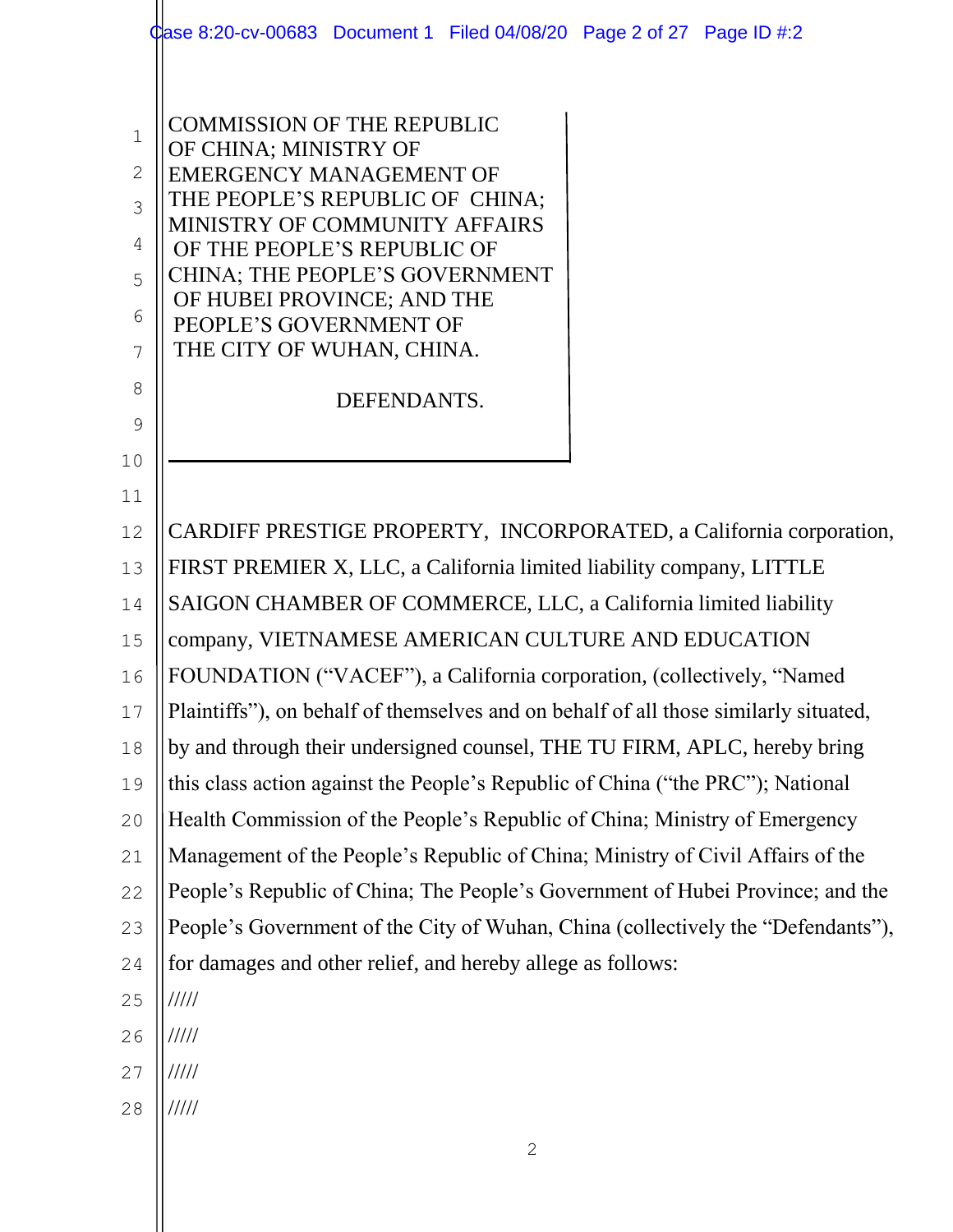|              | Case 8:20-cv-00683 Document 1 Filed 04/08/20 Page 2 of 27 Page ID #:2                |
|--------------|--------------------------------------------------------------------------------------|
|              |                                                                                      |
| $\mathbf{1}$ | <b>COMMISSION OF THE REPUBLIC</b>                                                    |
| $\mathbf{2}$ | OF CHINA; MINISTRY OF<br><b>EMERGENCY MANAGEMENT OF</b>                              |
| 3            | THE PEOPLE'S REPUBLIC OF CHINA;                                                      |
| 4            | MINISTRY OF COMMUNITY AFFAIRS                                                        |
| 5            | OF THE PEOPLE'S REPUBLIC OF<br>CHINA; THE PEOPLE'S GOVERNMENT                        |
| 6            | OF HUBEI PROVINCE; AND THE                                                           |
| 7            | PEOPLE'S GOVERNMENT OF<br>THE CITY OF WUHAN, CHINA.                                  |
| 8            |                                                                                      |
| 9            | DEFENDANTS.                                                                          |
| 10           |                                                                                      |
| 11           |                                                                                      |
| 12           | CARDIFF PRESTIGE PROPERTY, INCORPORATED, a California corporation,                   |
| 13           | FIRST PREMIER X, LLC, a California limited liability company, LITTLE                 |
| 14           | SAIGON CHAMBER OF COMMERCE, LLC, a California limited liability                      |
| 15           | company, VIETNAMESE AMERICAN CULTURE AND EDUCATION                                   |
| 16           | FOUNDATION ("VACEF"), a California corporation, (collectively, "Named                |
| 17           | Plaintiffs"), on behalf of themselves and on behalf of all those similarly situated, |
| 18           | by and through their undersigned counsel, THE TU FIRM, APLC, hereby bring            |
| 19           | this class action against the People's Republic of China ("the PRC"); National       |
| 20           | Health Commission of the People's Republic of China; Ministry of Emergency           |
| 21           | Management of the People's Republic of China; Ministry of Civil Affairs of the       |
| 22           | People's Republic of China; The People's Government of Hubei Province; and the       |
| 23           | People's Government of the City of Wuhan, China (collectively the "Defendants"),     |
| 24           | for damages and other relief, and hereby allege as follows:                          |
| 25           | 11111                                                                                |
| 26           | 11111                                                                                |
| 27           | 11111                                                                                |
| 28           | /////                                                                                |
|              | $\mathbf{2}$                                                                         |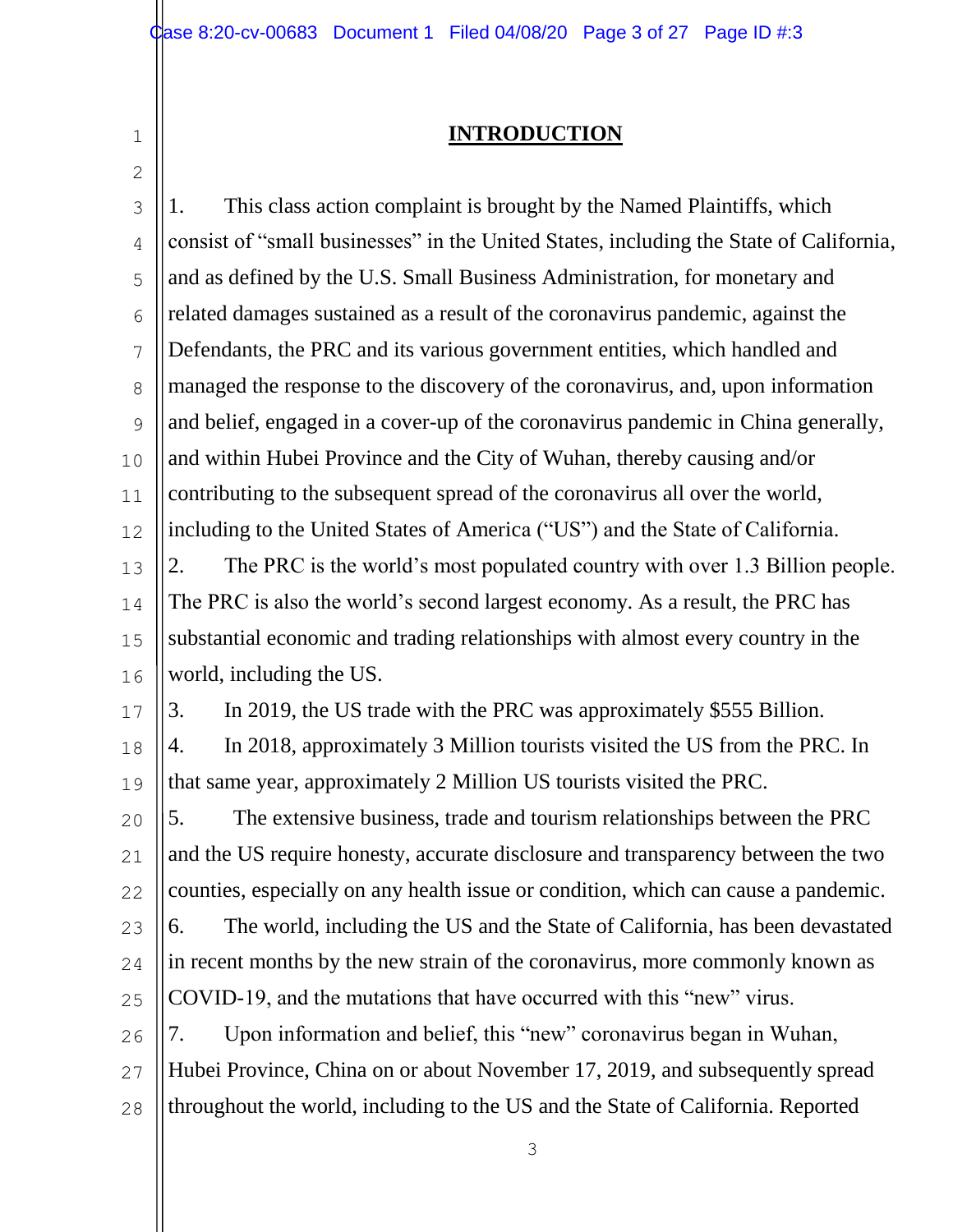2

## **INTRODUCTION**

3 4 5 6 7 8  $\mathsf{Q}$ 10 11 12 13 14 15 16 17 18 19 20 21 22 23 24 25 26 27 28 1. This class action complaint is brought by the Named Plaintiffs, which consist of "small businesses" in the United States, including the State of California, and as defined by the U.S. Small Business Administration, for monetary and related damages sustained as a result of the coronavirus pandemic, against the Defendants, the PRC and its various government entities, which handled and managed the response to the discovery of the coronavirus, and, upon information and belief, engaged in a cover-up of the coronavirus pandemic in China generally, and within Hubei Province and the City of Wuhan, thereby causing and/or contributing to the subsequent spread of the coronavirus all over the world, including to the United States of America ("US") and the State of California. 2. The PRC is the world's most populated country with over 1.3 Billion people. The PRC is also the world's second largest economy. As a result, the PRC has substantial economic and trading relationships with almost every country in the world, including the US. 3. In 2019, the US trade with the PRC was approximately \$555 Billion. 4. In 2018, approximately 3 Million tourists visited the US from the PRC. In that same year, approximately 2 Million US tourists visited the PRC. 5. The extensive business, trade and tourism relationships between the PRC and the US require honesty, accurate disclosure and transparency between the two counties, especially on any health issue or condition, which can cause a pandemic. 6. The world, including the US and the State of California, has been devastated in recent months by the new strain of the coronavirus, more commonly known as COVID-19, and the mutations that have occurred with this "new" virus. 7. Upon information and belief, this "new" coronavirus began in Wuhan, Hubei Province, China on or about November 17, 2019, and subsequently spread throughout the world, including to the US and the State of California. Reported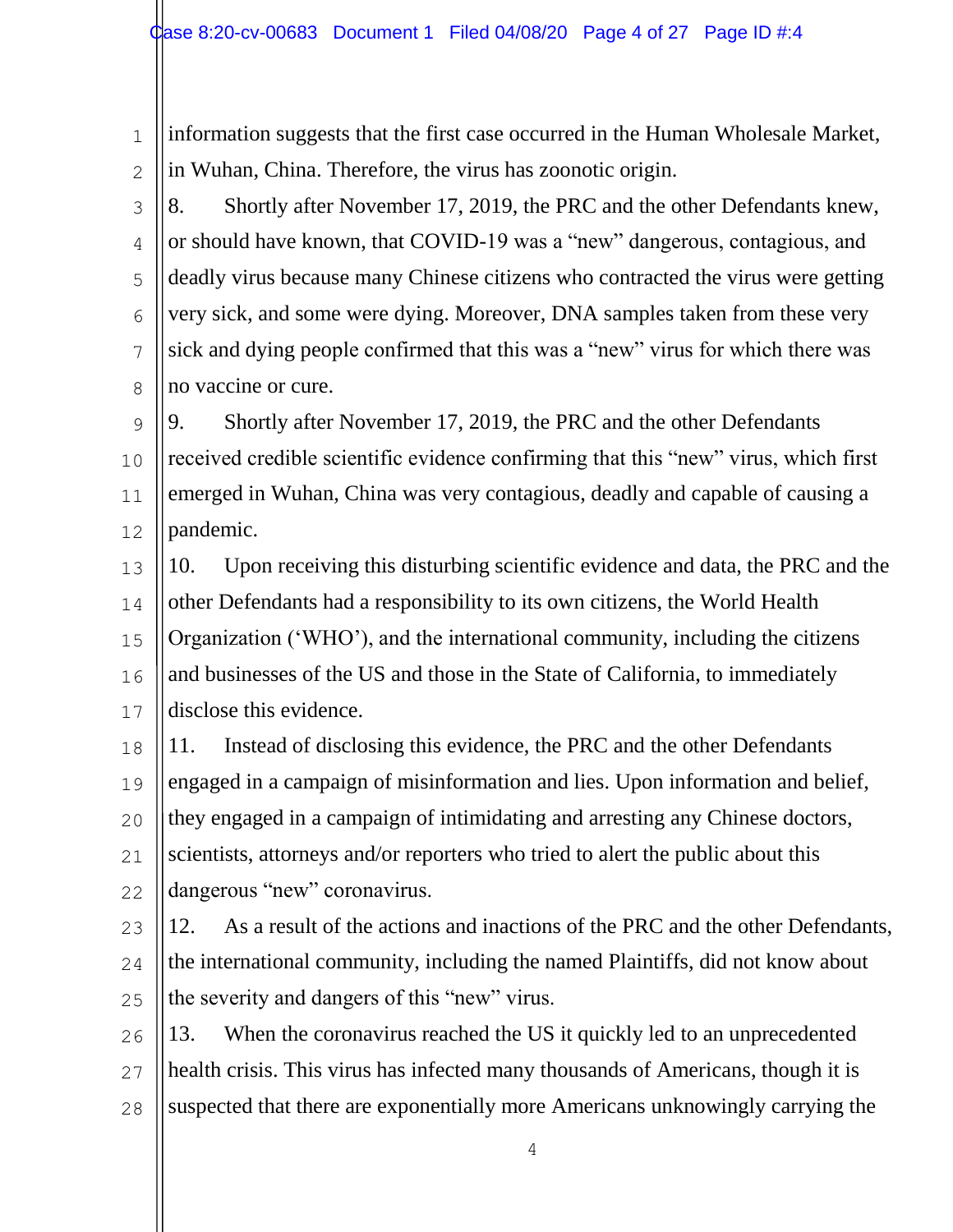information suggests that the first case occurred in the Human Wholesale Market, in Wuhan, China. Therefore, the virus has zoonotic origin.

3 4 5 6 7 8 8. Shortly after November 17, 2019, the PRC and the other Defendants knew, or should have known, that COVID-19 was a "new" dangerous, contagious, and deadly virus because many Chinese citizens who contracted the virus were getting very sick, and some were dying. Moreover, DNA samples taken from these very sick and dying people confirmed that this was a "new" virus for which there was no vaccine or cure.

 $\mathsf{Q}$ 10 11 12 9. Shortly after November 17, 2019, the PRC and the other Defendants received credible scientific evidence confirming that this "new" virus, which first emerged in Wuhan, China was very contagious, deadly and capable of causing a pandemic.

13 14 15 16 17 10. Upon receiving this disturbing scientific evidence and data, the PRC and the other Defendants had a responsibility to its own citizens, the World Health Organization ('WHO'), and the international community, including the citizens and businesses of the US and those in the State of California, to immediately disclose this evidence.

18 19 20 21 22 11. Instead of disclosing this evidence, the PRC and the other Defendants engaged in a campaign of misinformation and lies. Upon information and belief, they engaged in a campaign of intimidating and arresting any Chinese doctors, scientists, attorneys and/or reporters who tried to alert the public about this dangerous "new" coronavirus.

23 24 25 12. As a result of the actions and inactions of the PRC and the other Defendants, the international community, including the named Plaintiffs, did not know about the severity and dangers of this "new" virus.

26 27 28 13. When the coronavirus reached the US it quickly led to an unprecedented health crisis. This virus has infected many thousands of Americans, though it is suspected that there are exponentially more Americans unknowingly carrying the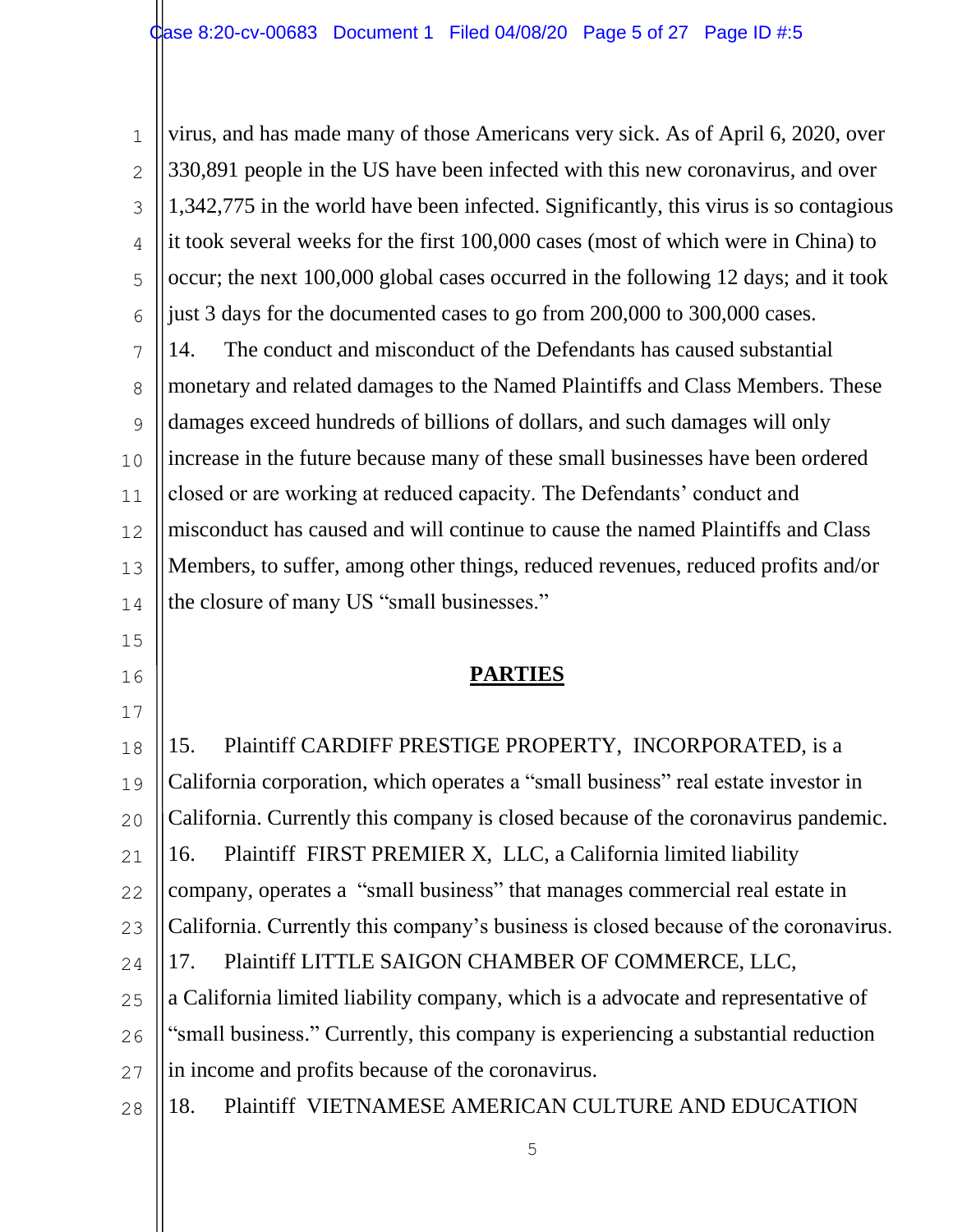1 2 3 4 5 6 7 8  $\mathsf{Q}$ 10 11 12 13 14 15 16 17 18 19 20 21 22 23 24 25 26 27 28 virus, and has made many of those Americans very sick. As of April 6, 2020, over 330,891 people in the US have been infected with this new coronavirus, and over 1,342,775 in the world have been infected. Significantly, this virus is so contagious it took several weeks for the first 100,000 cases (most of which were in China) to occur; the next 100,000 global cases occurred in the following 12 days; and it took just 3 days for the documented cases to go from 200,000 to 300,000 cases. 14. The conduct and misconduct of the Defendants has caused substantial monetary and related damages to the Named Plaintiffs and Class Members. These damages exceed hundreds of billions of dollars, and such damages will only increase in the future because many of these small businesses have been ordered closed or are working at reduced capacity. The Defendants' conduct and misconduct has caused and will continue to cause the named Plaintiffs and Class Members, to suffer, among other things, reduced revenues, reduced profits and/or the closure of many US "small businesses." **PARTIES**  15. Plaintiff CARDIFF PRESTIGE PROPERTY, INCORPORATED, is a California corporation, which operates a "small business" real estate investor in California. Currently this company is closed because of the coronavirus pandemic. 16. Plaintiff FIRST PREMIER X, LLC, a California limited liability company, operates a "small business" that manages commercial real estate in California. Currently this company's business is closed because of the coronavirus. 17. Plaintiff LITTLE SAIGON CHAMBER OF COMMERCE, LLC, a California limited liability company, which is a advocate and representative of "small business." Currently, this company is experiencing a substantial reduction in income and profits because of the coronavirus. 18. Plaintiff VIETNAMESE AMERICAN CULTURE AND EDUCATION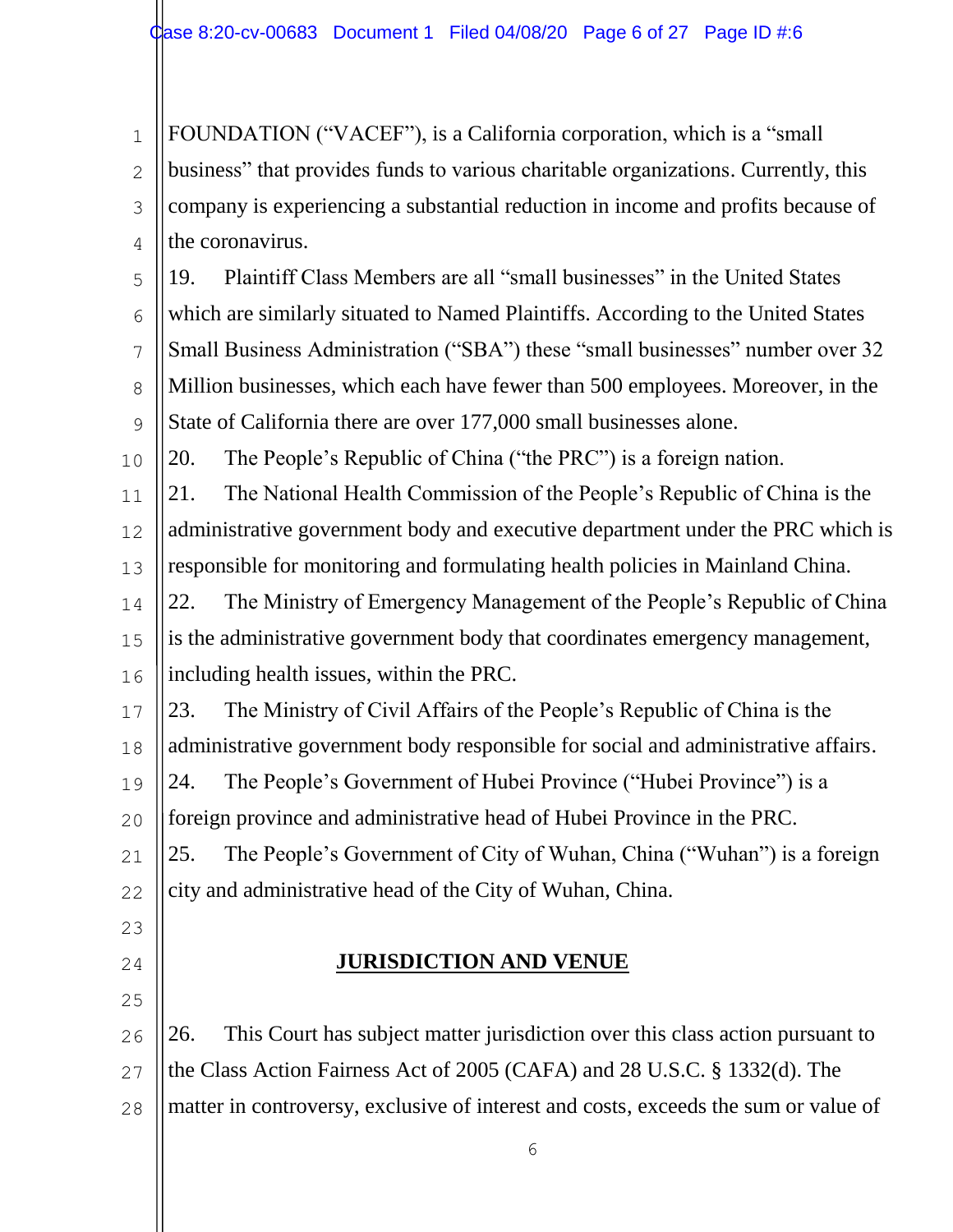1 2 3 4 FOUNDATION ("VACEF"), is a California corporation, which is a "small business" that provides funds to various charitable organizations. Currently, this company is experiencing a substantial reduction in income and profits because of the coronavirus.

5 6 7 8  $\mathsf{Q}$ 19. Plaintiff Class Members are all "small businesses" in the United States which are similarly situated to Named Plaintiffs. According to the United States Small Business Administration ("SBA") these "small businesses" number over 32 Million businesses, which each have fewer than 500 employees. Moreover, in the State of California there are over 177,000 small businesses alone.

10 20. The People's Republic of China ("the PRC") is a foreign nation.

11 12 13 21. The National Health Commission of the People's Republic of China is the administrative government body and executive department under the PRC which is responsible for monitoring and formulating health policies in Mainland China.

14 15 16 22. The Ministry of Emergency Management of the People's Republic of China is the administrative government body that coordinates emergency management, including health issues, within the PRC.

17 18 23. The Ministry of Civil Affairs of the People's Republic of China is the administrative government body responsible for social and administrative affairs.

19 24. The People's Government of Hubei Province ("Hubei Province") is a

20 foreign province and administrative head of Hubei Province in the PRC.

21 22 25. The People's Government of City of Wuhan, China ("Wuhan") is a foreign city and administrative head of the City of Wuhan, China.

- 23
- 24

25

# **JURISDICTION AND VENUE**

26 27 26. This Court has subject matter jurisdiction over this class action pursuant to the Class Action Fairness Act of 2005 (CAFA) and 28 U.S.C. § 1332(d). The

28 matter in controversy, exclusive of interest and costs, exceeds the sum or value of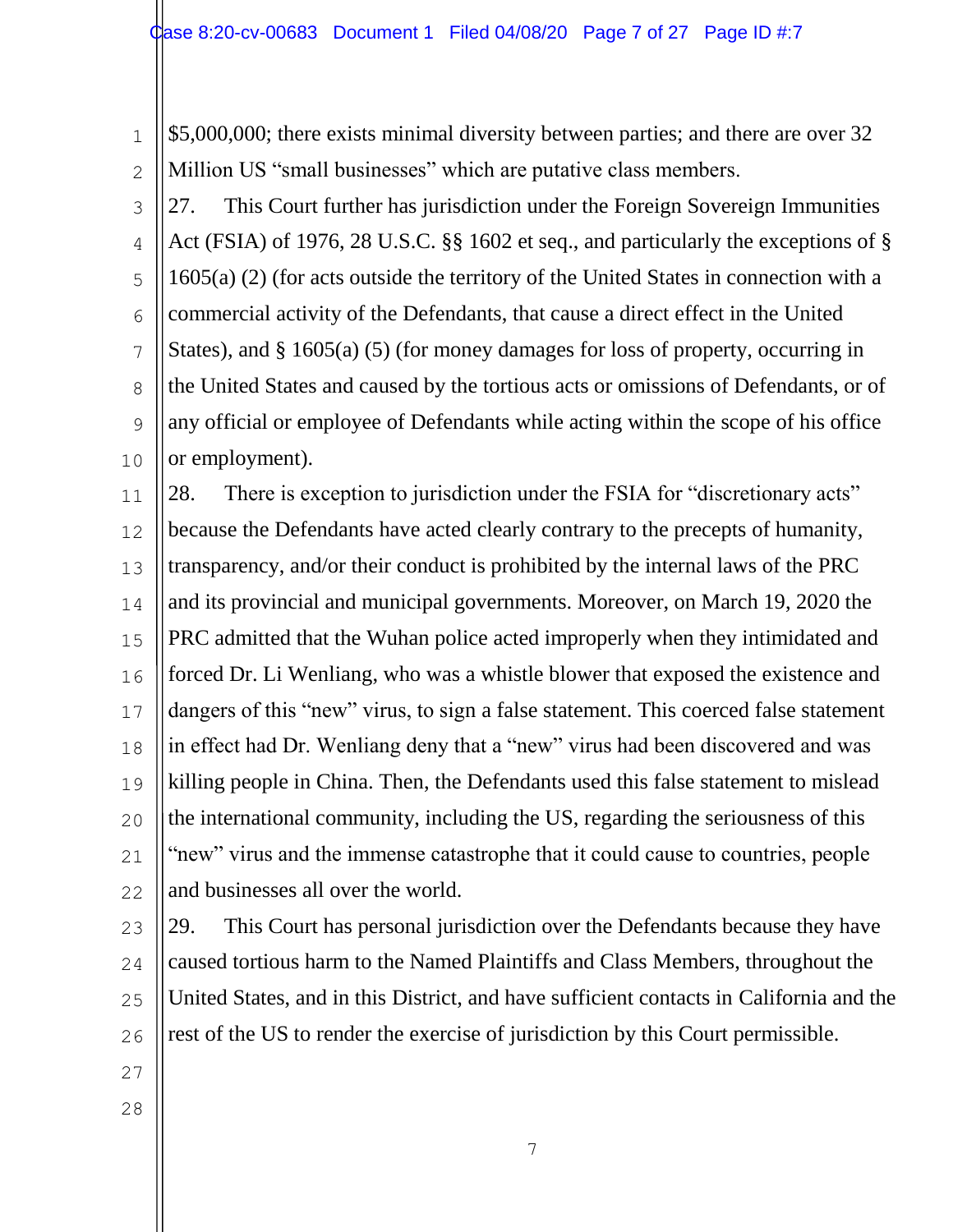2

\$5,000,000; there exists minimal diversity between parties; and there are over 32 Million US "small businesses" which are putative class members.

3 4 5 6 7 8 9 10 27. This Court further has jurisdiction under the Foreign Sovereign Immunities Act (FSIA) of 1976, 28 U.S.C. §§ 1602 et seq., and particularly the exceptions of § 1605(a) (2) (for acts outside the territory of the United States in connection with a commercial activity of the Defendants, that cause a direct effect in the United States), and § 1605(a) (5) (for money damages for loss of property, occurring in the United States and caused by the tortious acts or omissions of Defendants, or of any official or employee of Defendants while acting within the scope of his office or employment).

11 12 13 14 15 16 17 18 19 20 21 22 28. There is exception to jurisdiction under the FSIA for "discretionary acts" because the Defendants have acted clearly contrary to the precepts of humanity, transparency, and/or their conduct is prohibited by the internal laws of the PRC and its provincial and municipal governments. Moreover, on March 19, 2020 the PRC admitted that the Wuhan police acted improperly when they intimidated and forced Dr. Li Wenliang, who was a whistle blower that exposed the existence and dangers of this "new" virus, to sign a false statement. This coerced false statement in effect had Dr. Wenliang deny that a "new" virus had been discovered and was killing people in China. Then, the Defendants used this false statement to mislead the international community, including the US, regarding the seriousness of this "new" virus and the immense catastrophe that it could cause to countries, people and businesses all over the world.

23 24 25 26 29. This Court has personal jurisdiction over the Defendants because they have caused tortious harm to the Named Plaintiffs and Class Members, throughout the United States, and in this District, and have sufficient contacts in California and the rest of the US to render the exercise of jurisdiction by this Court permissible.

- 27
- 28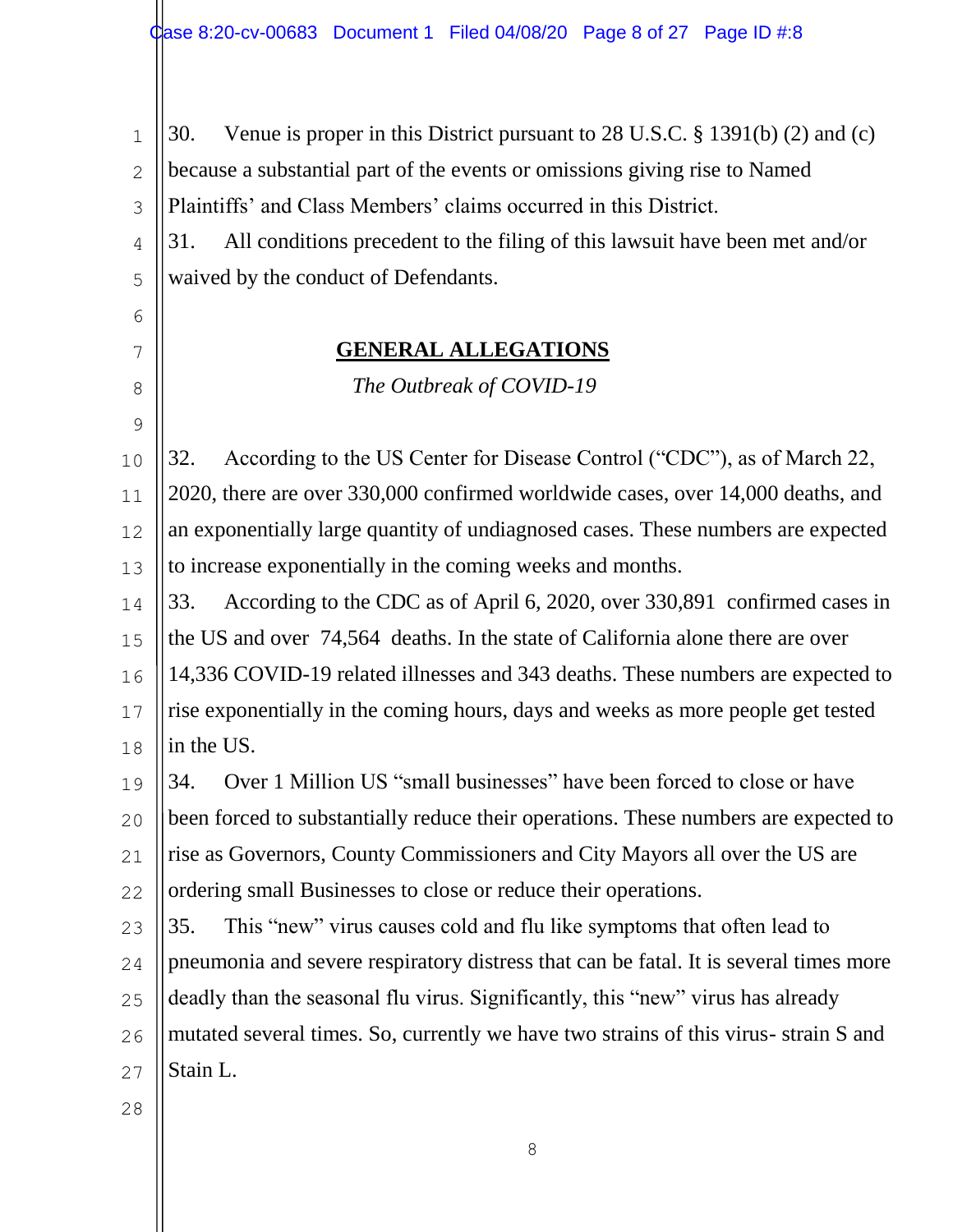1 2 3 4 5 6 7 8 9 10 11 30. Venue is proper in this District pursuant to 28 U.S.C. § 1391(b) (2) and (c) because a substantial part of the events or omissions giving rise to Named Plaintiffs' and Class Members' claims occurred in this District. 31. All conditions precedent to the filing of this lawsuit have been met and/or waived by the conduct of Defendants. **GENERAL ALLEGATIONS**  *The Outbreak of COVID-19* 32. According to the US Center for Disease Control ("CDC"), as of March 22, 2020, there are over 330,000 confirmed worldwide cases, over 14,000 deaths, and

12 13 an exponentially large quantity of undiagnosed cases. These numbers are expected to increase exponentially in the coming weeks and months.

14 15 16 17 18 33. According to the CDC as of April 6, 2020, over 330,891 confirmed cases in the US and over 74,564 deaths. In the state of California alone there are over 14,336 COVID-19 related illnesses and 343 deaths. These numbers are expected to rise exponentially in the coming hours, days and weeks as more people get tested in the US.

19 20 21 22 34. Over 1 Million US "small businesses" have been forced to close or have been forced to substantially reduce their operations. These numbers are expected to rise as Governors, County Commissioners and City Mayors all over the US are ordering small Businesses to close or reduce their operations.

23 24 25 26 27 35. This "new" virus causes cold and flu like symptoms that often lead to pneumonia and severe respiratory distress that can be fatal. It is several times more deadly than the seasonal flu virus. Significantly, this "new" virus has already mutated several times. So, currently we have two strains of this virus- strain S and Stain L.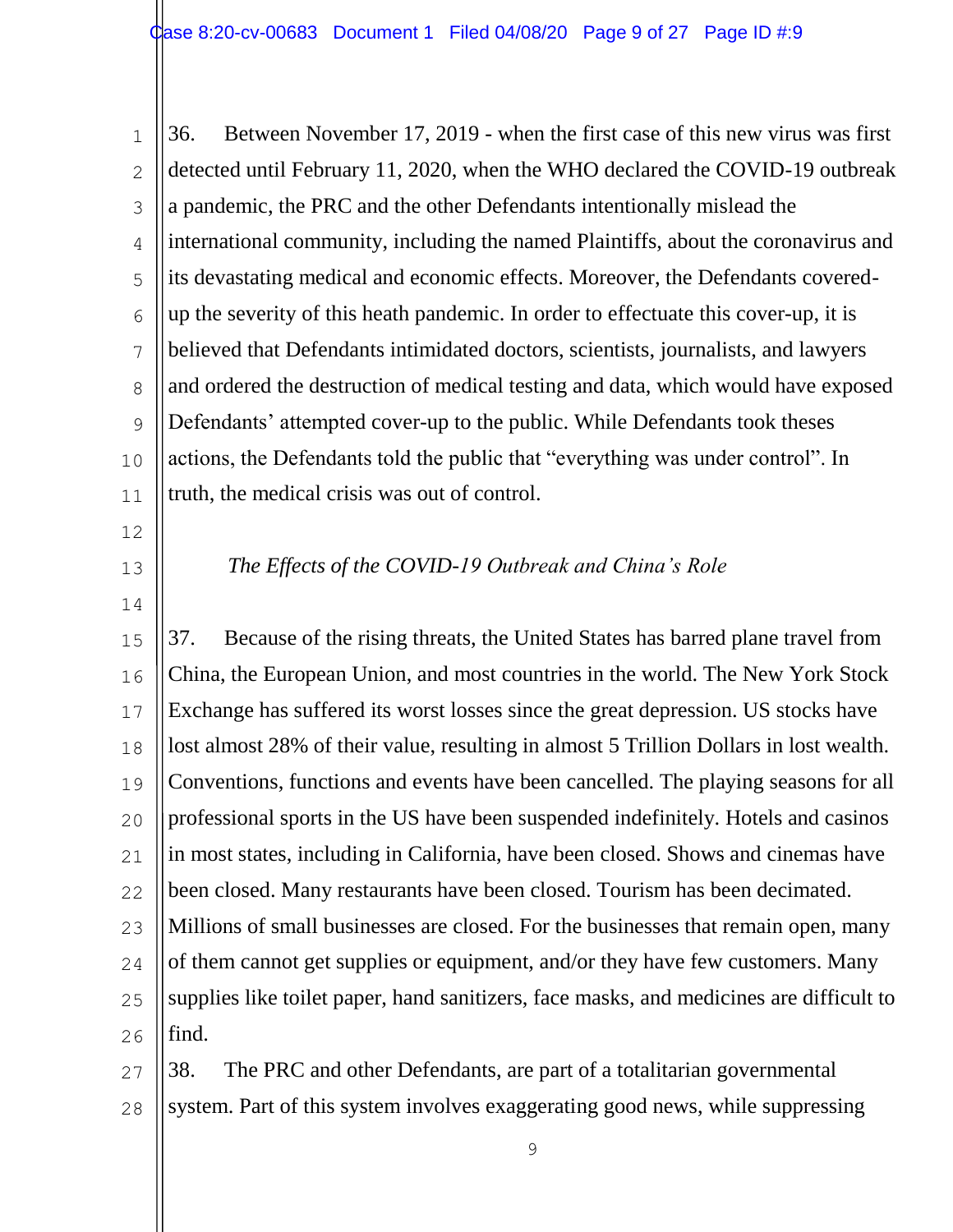1 2 3 4 5 6 7 8  $\mathsf{Q}$ 10 11 36. Between November 17, 2019 - when the first case of this new virus was first detected until February 11, 2020, when the WHO declared the COVID-19 outbreak a pandemic, the PRC and the other Defendants intentionally mislead the international community, including the named Plaintiffs, about the coronavirus and its devastating medical and economic effects. Moreover, the Defendants coveredup the severity of this heath pandemic. In order to effectuate this cover-up, it is believed that Defendants intimidated doctors, scientists, journalists, and lawyers and ordered the destruction of medical testing and data, which would have exposed Defendants' attempted cover-up to the public. While Defendants took theses actions, the Defendants told the public that "everything was under control". In truth, the medical crisis was out of control.

- 12
- 13

14

### *The Effects of the COVID-19 Outbreak and China's Role*

15 16 17 18 19 20 21 22 23 24 25 26 37. Because of the rising threats, the United States has barred plane travel from China, the European Union, and most countries in the world. The New York Stock Exchange has suffered its worst losses since the great depression. US stocks have lost almost 28% of their value, resulting in almost 5 Trillion Dollars in lost wealth. Conventions, functions and events have been cancelled. The playing seasons for all professional sports in the US have been suspended indefinitely. Hotels and casinos in most states, including in California, have been closed. Shows and cinemas have been closed. Many restaurants have been closed. Tourism has been decimated. Millions of small businesses are closed. For the businesses that remain open, many of them cannot get supplies or equipment, and/or they have few customers. Many supplies like toilet paper, hand sanitizers, face masks, and medicines are difficult to find.

27 28 38. The PRC and other Defendants, are part of a totalitarian governmental system. Part of this system involves exaggerating good news, while suppressing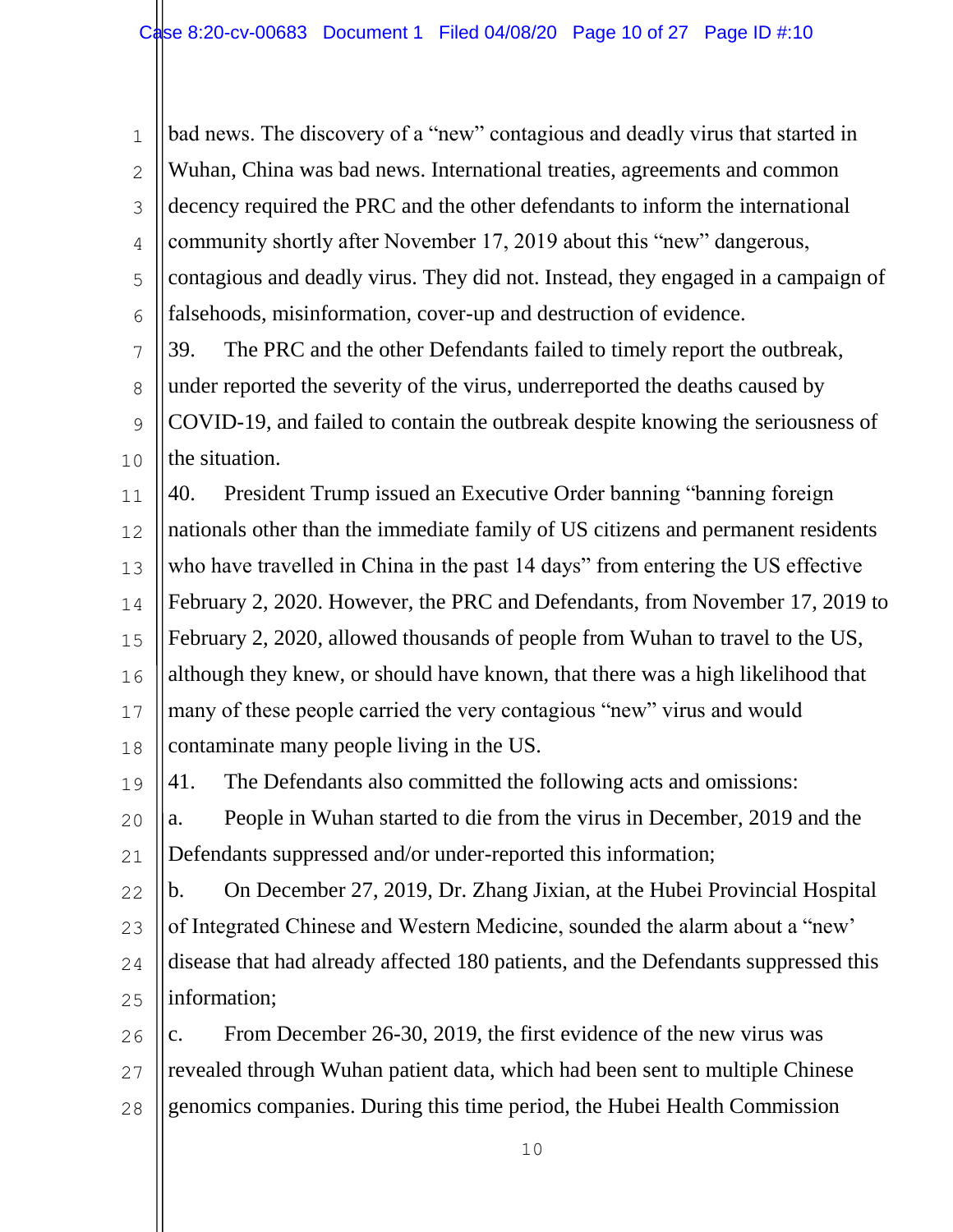1 2 3 4 5 6 bad news. The discovery of a "new" contagious and deadly virus that started in Wuhan, China was bad news. International treaties, agreements and common decency required the PRC and the other defendants to inform the international community shortly after November 17, 2019 about this "new" dangerous, contagious and deadly virus. They did not. Instead, they engaged in a campaign of falsehoods, misinformation, cover-up and destruction of evidence.

7 8  $\mathsf{Q}$ 10 39. The PRC and the other Defendants failed to timely report the outbreak, under reported the severity of the virus, underreported the deaths caused by COVID-19, and failed to contain the outbreak despite knowing the seriousness of the situation.

11 12 13 14 15 16 17 18 40. President Trump issued an Executive Order banning "banning foreign nationals other than the immediate family of US citizens and permanent residents who have travelled in China in the past 14 days" from entering the US effective February 2, 2020. However, the PRC and Defendants, from November 17, 2019 to February 2, 2020, allowed thousands of people from Wuhan to travel to the US, although they knew, or should have known, that there was a high likelihood that many of these people carried the very contagious "new" virus and would contaminate many people living in the US.

19 41. The Defendants also committed the following acts and omissions:

20 21 a. People in Wuhan started to die from the virus in December, 2019 and the Defendants suppressed and/or under-reported this information;

22 23 24 25 b. On December 27, 2019, Dr. Zhang Jixian, at the Hubei Provincial Hospital of Integrated Chinese and Western Medicine, sounded the alarm about a "new' disease that had already affected 180 patients, and the Defendants suppressed this information;

26 27 28 c. From December 26-30, 2019, the first evidence of the new virus was revealed through Wuhan patient data, which had been sent to multiple Chinese genomics companies. During this time period, the Hubei Health Commission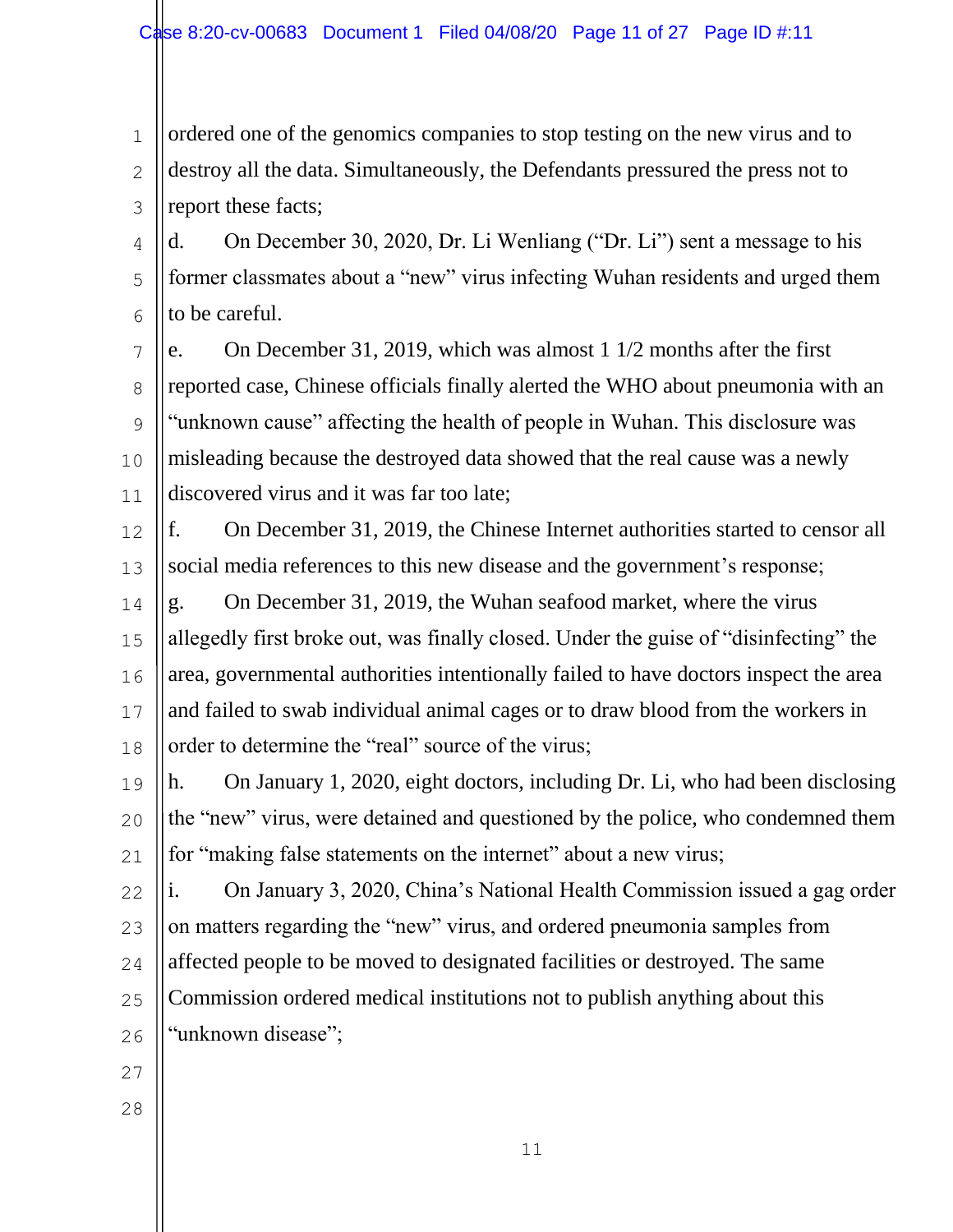1 2 3 ordered one of the genomics companies to stop testing on the new virus and to destroy all the data. Simultaneously, the Defendants pressured the press not to report these facts;

4 5 6 d. On December 30, 2020, Dr. Li Wenliang ("Dr. Li") sent a message to his former classmates about a "new" virus infecting Wuhan residents and urged them to be careful.

7 8 9 10 11 e. On December 31, 2019, which was almost 1 1/2 months after the first reported case, Chinese officials finally alerted the WHO about pneumonia with an "unknown cause" affecting the health of people in Wuhan. This disclosure was misleading because the destroyed data showed that the real cause was a newly discovered virus and it was far too late;

12 13 f. On December 31, 2019, the Chinese Internet authorities started to censor all social media references to this new disease and the government's response;

14 15 16 17 18 g. On December 31, 2019, the Wuhan seafood market, where the virus allegedly first broke out, was finally closed. Under the guise of "disinfecting" the area, governmental authorities intentionally failed to have doctors inspect the area and failed to swab individual animal cages or to draw blood from the workers in order to determine the "real" source of the virus;

19 20 21 h. On January 1, 2020, eight doctors, including Dr. Li, who had been disclosing the "new" virus, were detained and questioned by the police, who condemned them for "making false statements on the internet" about a new virus;

22 23 24 25 26 i. On January 3, 2020, China's National Health Commission issued a gag order on matters regarding the "new" virus, and ordered pneumonia samples from affected people to be moved to designated facilities or destroyed. The same Commission ordered medical institutions not to publish anything about this "unknown disease";

- 27
- 28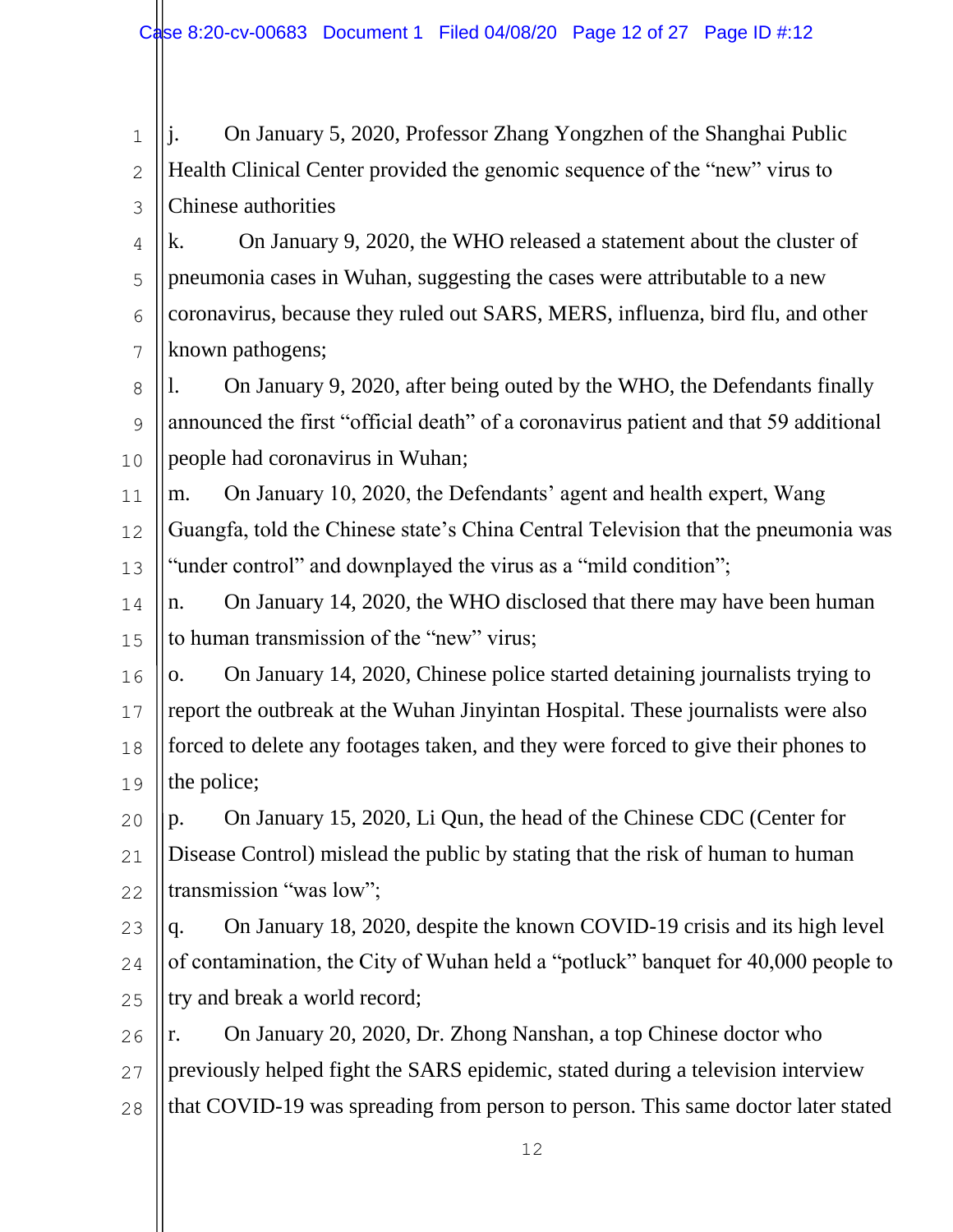1 2 3 4 5 6 7 8  $\mathsf{Q}$ 10 11 12 13 14 15 16 17 18 19 20 21 22 23 24 25 26 27 28 j. On January 5, 2020, Professor Zhang Yongzhen of the Shanghai Public Health Clinical Center provided the genomic sequence of the "new" virus to Chinese authorities k. On January 9, 2020, the WHO released a statement about the cluster of pneumonia cases in Wuhan, suggesting the cases were attributable to a new coronavirus, because they ruled out SARS, MERS, influenza, bird flu, and other known pathogens; l. On January 9, 2020, after being outed by the WHO, the Defendants finally announced the first "official death" of a coronavirus patient and that 59 additional people had coronavirus in Wuhan; m. On January 10, 2020, the Defendants' agent and health expert, Wang Guangfa, told the Chinese state's China Central Television that the pneumonia was "under control" and downplayed the virus as a "mild condition"; n. On January 14, 2020, the WHO disclosed that there may have been human to human transmission of the "new" virus; o. On January 14, 2020, Chinese police started detaining journalists trying to report the outbreak at the Wuhan Jinyintan Hospital. These journalists were also forced to delete any footages taken, and they were forced to give their phones to the police; p. On January 15, 2020, Li Qun, the head of the Chinese CDC (Center for Disease Control) mislead the public by stating that the risk of human to human transmission "was low"; q. On January 18, 2020, despite the known COVID-19 crisis and its high level of contamination, the City of Wuhan held a "potluck" banquet for 40,000 people to try and break a world record; r. On January 20, 2020, Dr. Zhong Nanshan, a top Chinese doctor who previously helped fight the SARS epidemic, stated during a television interview that COVID-19 was spreading from person to person. This same doctor later stated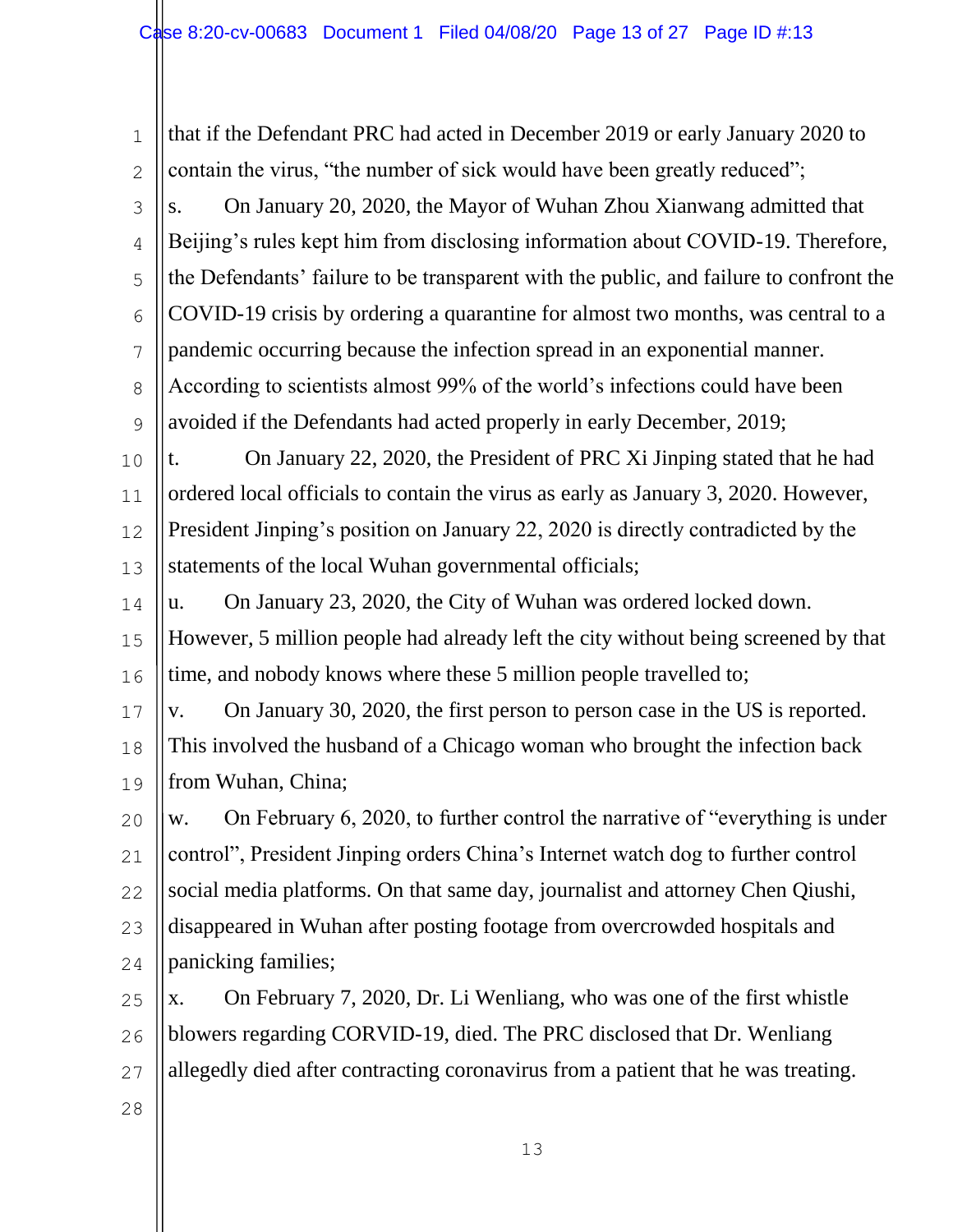1 2 3 4 5 6 7 8  $\mathsf{Q}$ 10 11 12 13 14 15 16 17 18 19 20 21 22 23 24 25 26 27 28 that if the Defendant PRC had acted in December 2019 or early January 2020 to contain the virus, "the number of sick would have been greatly reduced"; s. On January 20, 2020, the Mayor of Wuhan Zhou Xianwang admitted that Beijing's rules kept him from disclosing information about COVID-19. Therefore, the Defendants' failure to be transparent with the public, and failure to confront the COVID-19 crisis by ordering a quarantine for almost two months, was central to a pandemic occurring because the infection spread in an exponential manner. According to scientists almost 99% of the world's infections could have been avoided if the Defendants had acted properly in early December, 2019; t. On January 22, 2020, the President of PRC Xi Jinping stated that he had ordered local officials to contain the virus as early as January 3, 2020. However, President Jinping's position on January 22, 2020 is directly contradicted by the statements of the local Wuhan governmental officials; u. On January 23, 2020, the City of Wuhan was ordered locked down. However, 5 million people had already left the city without being screened by that time, and nobody knows where these 5 million people travelled to; v. On January 30, 2020, the first person to person case in the US is reported. This involved the husband of a Chicago woman who brought the infection back from Wuhan, China; w. On February 6, 2020, to further control the narrative of "everything is under control", President Jinping orders China's Internet watch dog to further control social media platforms. On that same day, journalist and attorney Chen Qiushi, disappeared in Wuhan after posting footage from overcrowded hospitals and panicking families; x. On February 7, 2020, Dr. Li Wenliang, who was one of the first whistle blowers regarding CORVID-19, died. The PRC disclosed that Dr. Wenliang allegedly died after contracting coronavirus from a patient that he was treating.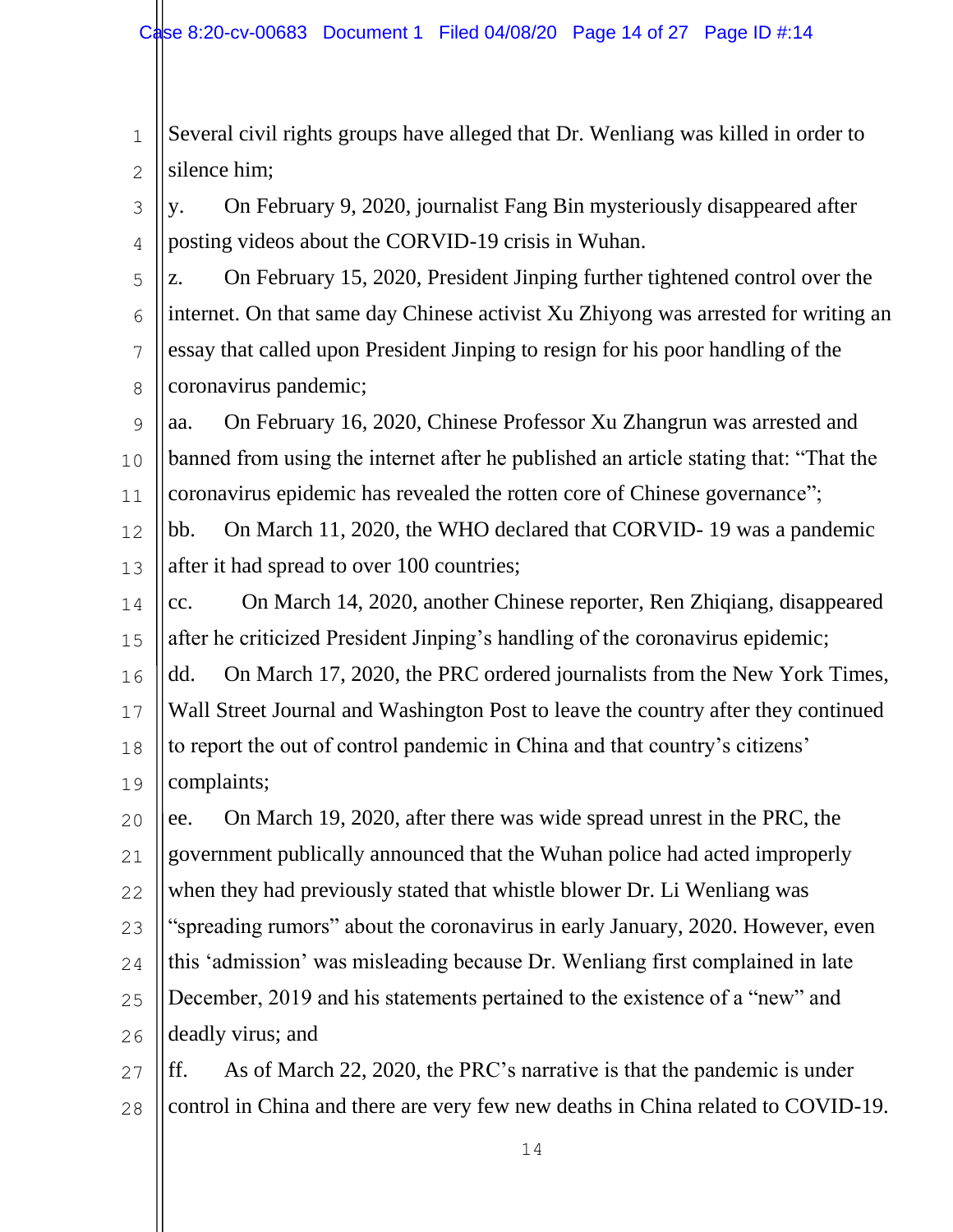1 2 Several civil rights groups have alleged that Dr. Wenliang was killed in order to silence him;

3 4 y. On February 9, 2020, journalist Fang Bin mysteriously disappeared after posting videos about the CORVID-19 crisis in Wuhan.

5 6 7 8 z. On February 15, 2020, President Jinping further tightened control over the internet. On that same day Chinese activist Xu Zhiyong was arrested for writing an essay that called upon President Jinping to resign for his poor handling of the coronavirus pandemic;

 $\mathsf{Q}$ 10 11 aa. On February 16, 2020, Chinese Professor Xu Zhangrun was arrested and banned from using the internet after he published an article stating that: "That the coronavirus epidemic has revealed the rotten core of Chinese governance";

12 13 bb. On March 11, 2020, the WHO declared that CORVID- 19 was a pandemic after it had spread to over 100 countries;

14 15 cc. On March 14, 2020, another Chinese reporter, Ren Zhiqiang, disappeared after he criticized President Jinping's handling of the coronavirus epidemic;

16 17 18 19 dd. On March 17, 2020, the PRC ordered journalists from the New York Times, Wall Street Journal and Washington Post to leave the country after they continued to report the out of control pandemic in China and that country's citizens' complaints;

20 21 ee. On March 19, 2020, after there was wide spread unrest in the PRC, the government publically announced that the Wuhan police had acted improperly

22 when they had previously stated that whistle blower Dr. Li Wenliang was

23 "spreading rumors" about the coronavirus in early January, 2020. However, even

24 this 'admission' was misleading because Dr. Wenliang first complained in late

25 26 December, 2019 and his statements pertained to the existence of a "new" and deadly virus; and

27 28 ff. As of March 22, 2020, the PRC's narrative is that the pandemic is under control in China and there are very few new deaths in China related to COVID-19.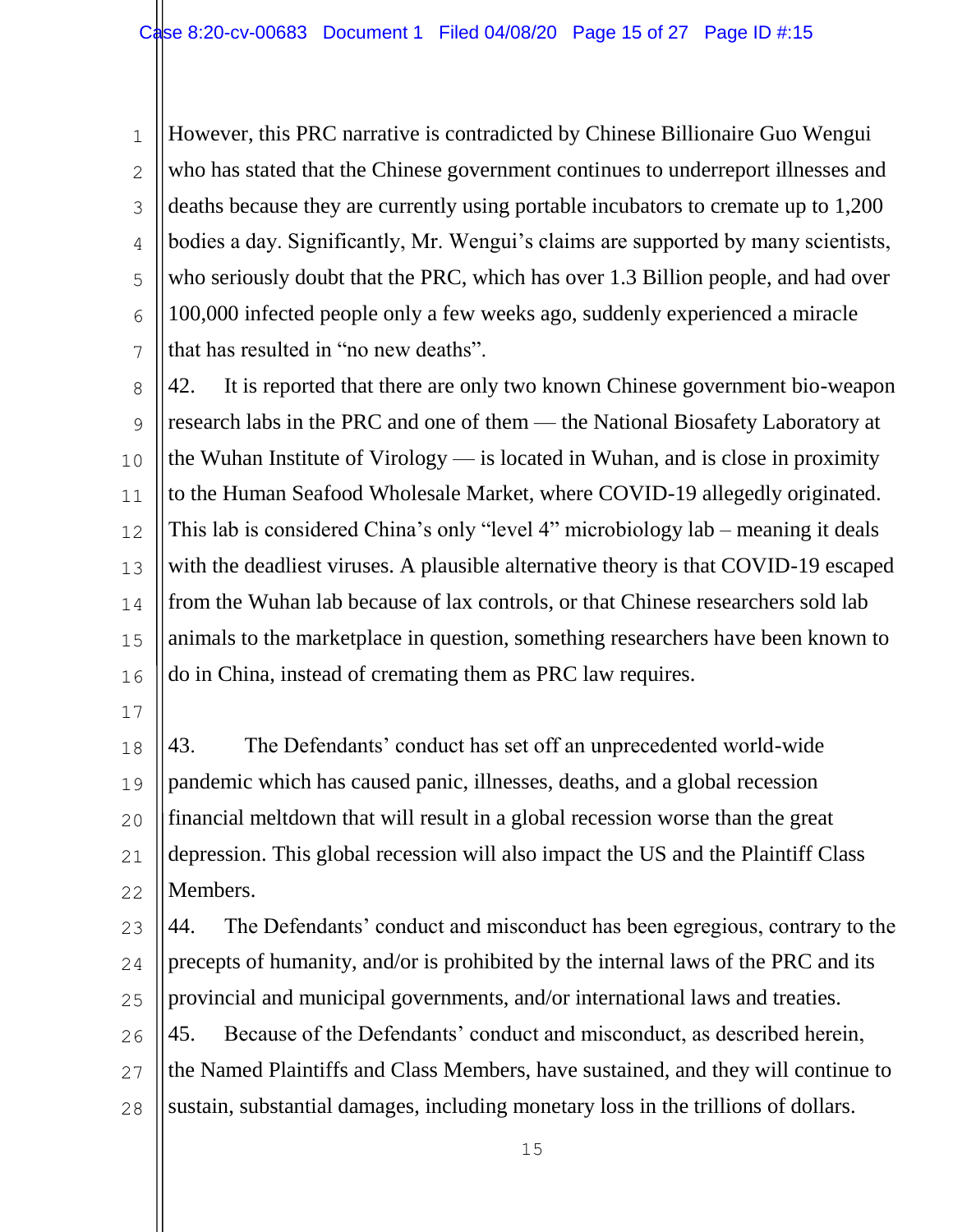1 2 3 4 5 6 7 However, this PRC narrative is contradicted by Chinese Billionaire Guo Wengui who has stated that the Chinese government continues to underreport illnesses and deaths because they are currently using portable incubators to cremate up to 1,200 bodies a day. Significantly, Mr. Wengui's claims are supported by many scientists, who seriously doubt that the PRC, which has over 1.3 Billion people, and had over 100,000 infected people only a few weeks ago, suddenly experienced a miracle that has resulted in "no new deaths".

8  $\mathsf{Q}$ 10 11 12 13 14 15 16 42. It is reported that there are only two known Chinese government bio-weapon research labs in the PRC and one of them — the National Biosafety Laboratory at the Wuhan Institute of Virology — is located in Wuhan, and is close in proximity to the Human Seafood Wholesale Market, where COVID-19 allegedly originated. This lab is considered China's only "level 4" microbiology lab – meaning it deals with the deadliest viruses. A plausible alternative theory is that COVID-19 escaped from the Wuhan lab because of lax controls, or that Chinese researchers sold lab animals to the marketplace in question, something researchers have been known to do in China, instead of cremating them as PRC law requires.

17

18 19 20 21 22 43. The Defendants' conduct has set off an unprecedented world-wide pandemic which has caused panic, illnesses, deaths, and a global recession financial meltdown that will result in a global recession worse than the great depression. This global recession will also impact the US and the Plaintiff Class Members.

23 24 25 26 27 28 44. The Defendants' conduct and misconduct has been egregious, contrary to the precepts of humanity, and/or is prohibited by the internal laws of the PRC and its provincial and municipal governments, and/or international laws and treaties. 45. Because of the Defendants' conduct and misconduct, as described herein, the Named Plaintiffs and Class Members, have sustained, and they will continue to sustain, substantial damages, including monetary loss in the trillions of dollars.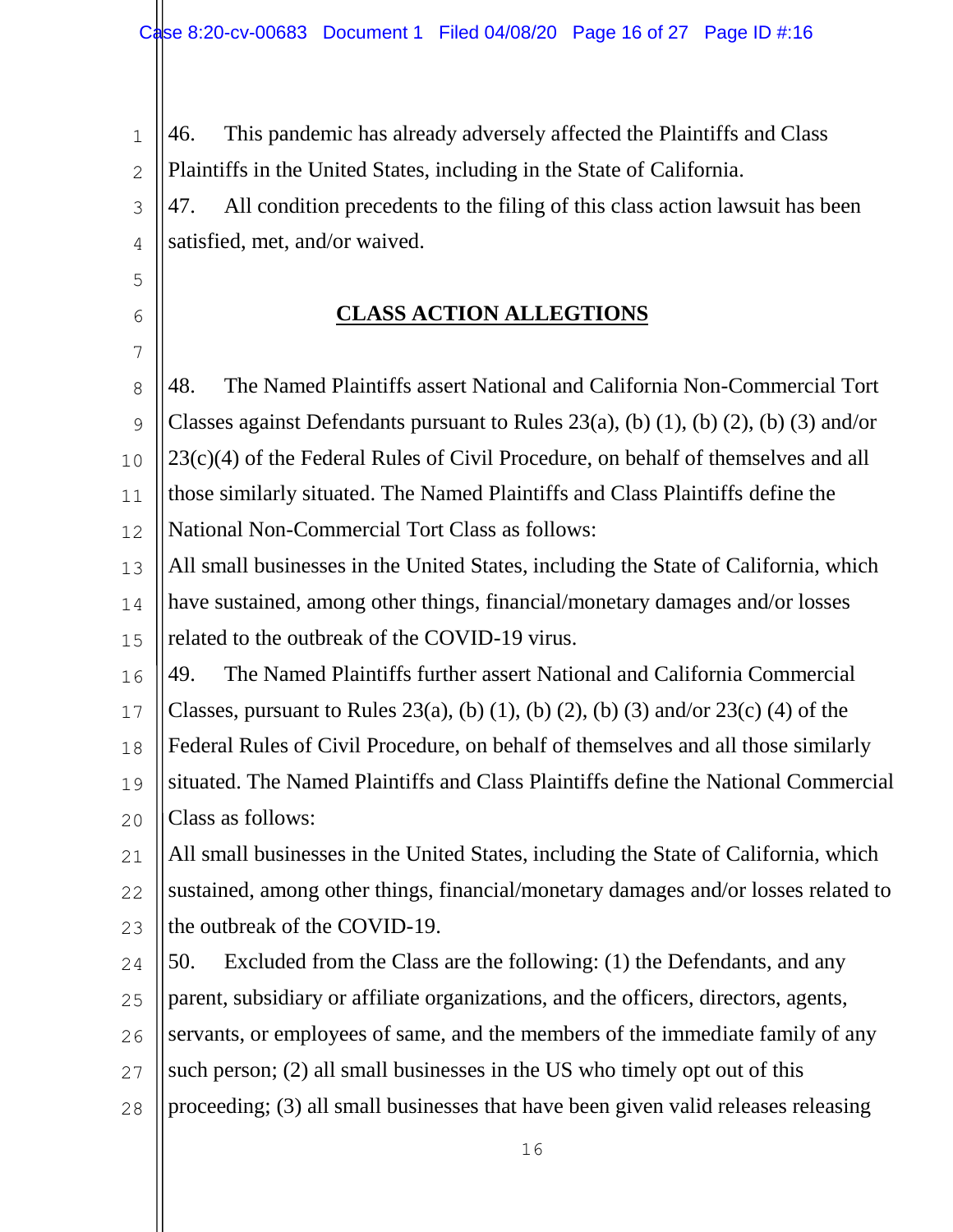1 2 46. This pandemic has already adversely affected the Plaintiffs and Class Plaintiffs in the United States, including in the State of California.

3 4 47. All condition precedents to the filing of this class action lawsuit has been satisfied, met, and/or waived.

# **CLASS ACTION ALLEGTIONS**

5

6

7

8  $\mathsf{Q}$ 10 11 12 13 14 48. The Named Plaintiffs assert National and California Non-Commercial Tort Classes against Defendants pursuant to Rules  $23(a)$ , (b)  $(1)$ , (b)  $(2)$ , (b)  $(3)$  and/or 23(c)(4) of the Federal Rules of Civil Procedure, on behalf of themselves and all those similarly situated. The Named Plaintiffs and Class Plaintiffs define the National Non-Commercial Tort Class as follows: All small businesses in the United States, including the State of California, which have sustained, among other things, financial/monetary damages and/or losses

15 related to the outbreak of the COVID-19 virus.

16 49. The Named Plaintiffs further assert National and California Commercial

17 Classes, pursuant to Rules 23(a), (b) (1), (b) (2), (b) (3) and/or 23(c) (4) of the

18 Federal Rules of Civil Procedure, on behalf of themselves and all those similarly

19 20 situated. The Named Plaintiffs and Class Plaintiffs define the National Commercial Class as follows:

21 22 23 All small businesses in the United States, including the State of California, which sustained, among other things, financial/monetary damages and/or losses related to the outbreak of the COVID-19.

24 50. Excluded from the Class are the following: (1) the Defendants, and any

25 parent, subsidiary or affiliate organizations, and the officers, directors, agents,

26 servants, or employees of same, and the members of the immediate family of any

27 such person; (2) all small businesses in the US who timely opt out of this

28 proceeding; (3) all small businesses that have been given valid releases releasing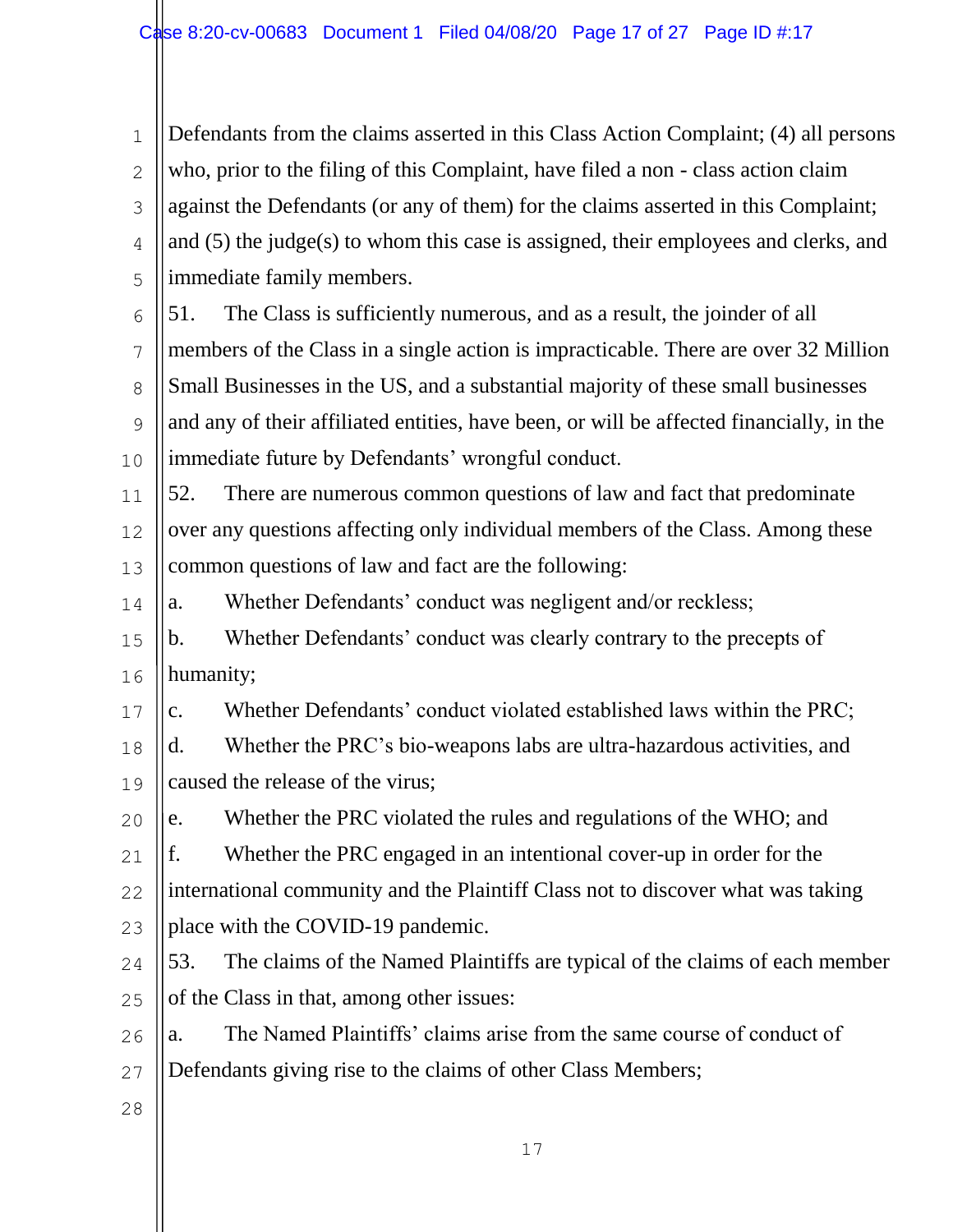1 2 3 4 5 6 7 8  $\mathsf{Q}$ 10 11 12 13 14 15 16 17 18 19 20 21 22 23 24 25 26 27 28 Defendants from the claims asserted in this Class Action Complaint; (4) all persons who, prior to the filing of this Complaint, have filed a non - class action claim against the Defendants (or any of them) for the claims asserted in this Complaint; and (5) the judge(s) to whom this case is assigned, their employees and clerks, and immediate family members. 51. The Class is sufficiently numerous, and as a result, the joinder of all members of the Class in a single action is impracticable. There are over 32 Million Small Businesses in the US, and a substantial majority of these small businesses and any of their affiliated entities, have been, or will be affected financially, in the immediate future by Defendants' wrongful conduct. 52. There are numerous common questions of law and fact that predominate over any questions affecting only individual members of the Class. Among these common questions of law and fact are the following: a. Whether Defendants' conduct was negligent and/or reckless; b. Whether Defendants' conduct was clearly contrary to the precepts of humanity; c. Whether Defendants' conduct violated established laws within the PRC; d. Whether the PRC's bio-weapons labs are ultra-hazardous activities, and caused the release of the virus; e. Whether the PRC violated the rules and regulations of the WHO; and f. Whether the PRC engaged in an intentional cover-up in order for the international community and the Plaintiff Class not to discover what was taking place with the COVID-19 pandemic. 53. The claims of the Named Plaintiffs are typical of the claims of each member of the Class in that, among other issues: a. The Named Plaintiffs' claims arise from the same course of conduct of Defendants giving rise to the claims of other Class Members;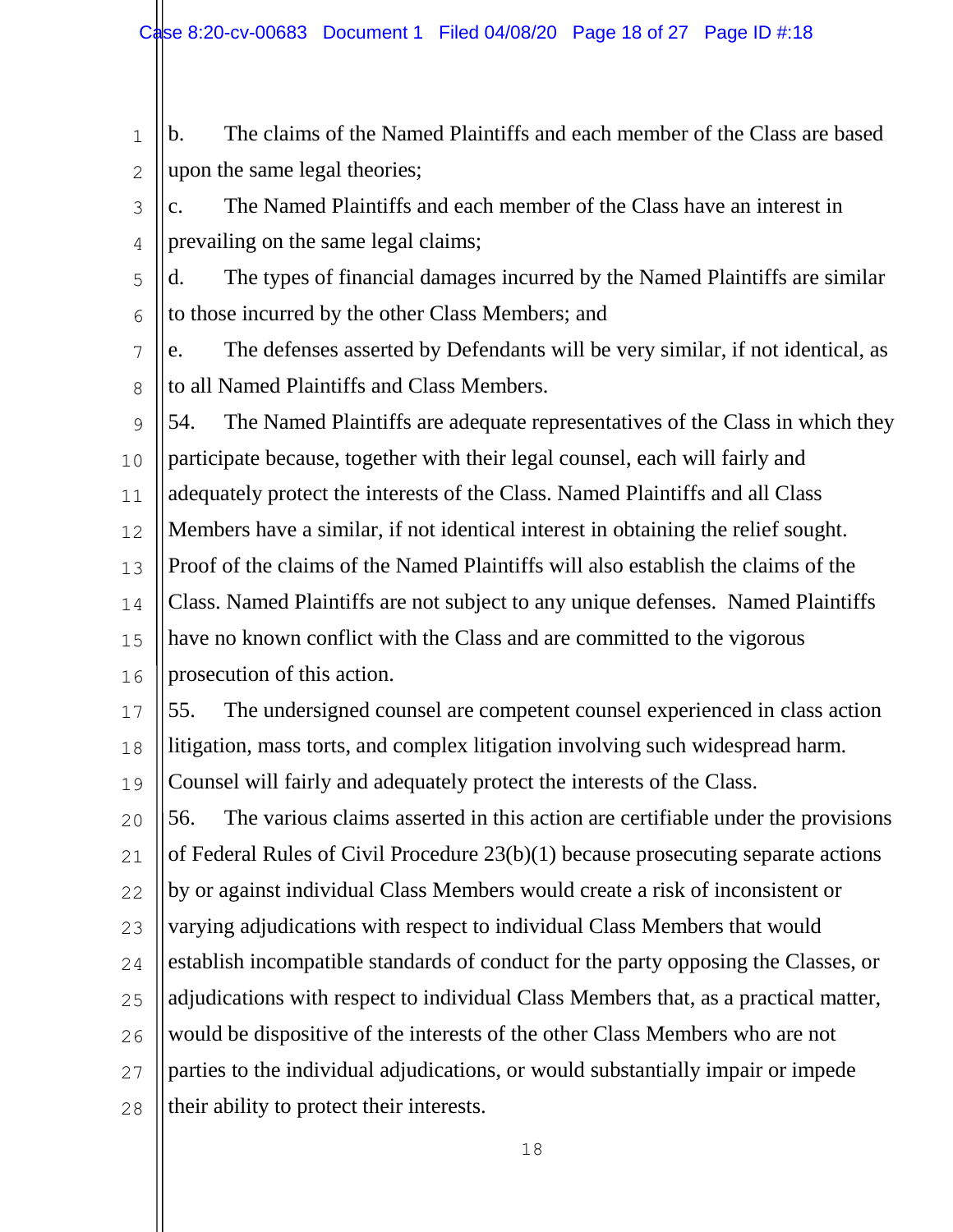- 1 2 b. The claims of the Named Plaintiffs and each member of the Class are based upon the same legal theories;
- 3 4 c. The Named Plaintiffs and each member of the Class have an interest in prevailing on the same legal claims;
- 5 6 d. The types of financial damages incurred by the Named Plaintiffs are similar to those incurred by the other Class Members; and
- 7 8 e. The defenses asserted by Defendants will be very similar, if not identical, as to all Named Plaintiffs and Class Members.
- $\mathsf{Q}$ 10 11 12 13 14 15 16 54. The Named Plaintiffs are adequate representatives of the Class in which they participate because, together with their legal counsel, each will fairly and adequately protect the interests of the Class. Named Plaintiffs and all Class Members have a similar, if not identical interest in obtaining the relief sought. Proof of the claims of the Named Plaintiffs will also establish the claims of the Class. Named Plaintiffs are not subject to any unique defenses. Named Plaintiffs have no known conflict with the Class and are committed to the vigorous prosecution of this action.
- 17 18 19 55. The undersigned counsel are competent counsel experienced in class action litigation, mass torts, and complex litigation involving such widespread harm. Counsel will fairly and adequately protect the interests of the Class.
- 20 21 22 23 24 25 56. The various claims asserted in this action are certifiable under the provisions of Federal Rules of Civil Procedure 23(b)(1) because prosecuting separate actions by or against individual Class Members would create a risk of inconsistent or varying adjudications with respect to individual Class Members that would establish incompatible standards of conduct for the party opposing the Classes, or adjudications with respect to individual Class Members that, as a practical matter,
- 26 would be dispositive of the interests of the other Class Members who are not
- 27 parties to the individual adjudications, or would substantially impair or impede
- 28 their ability to protect their interests.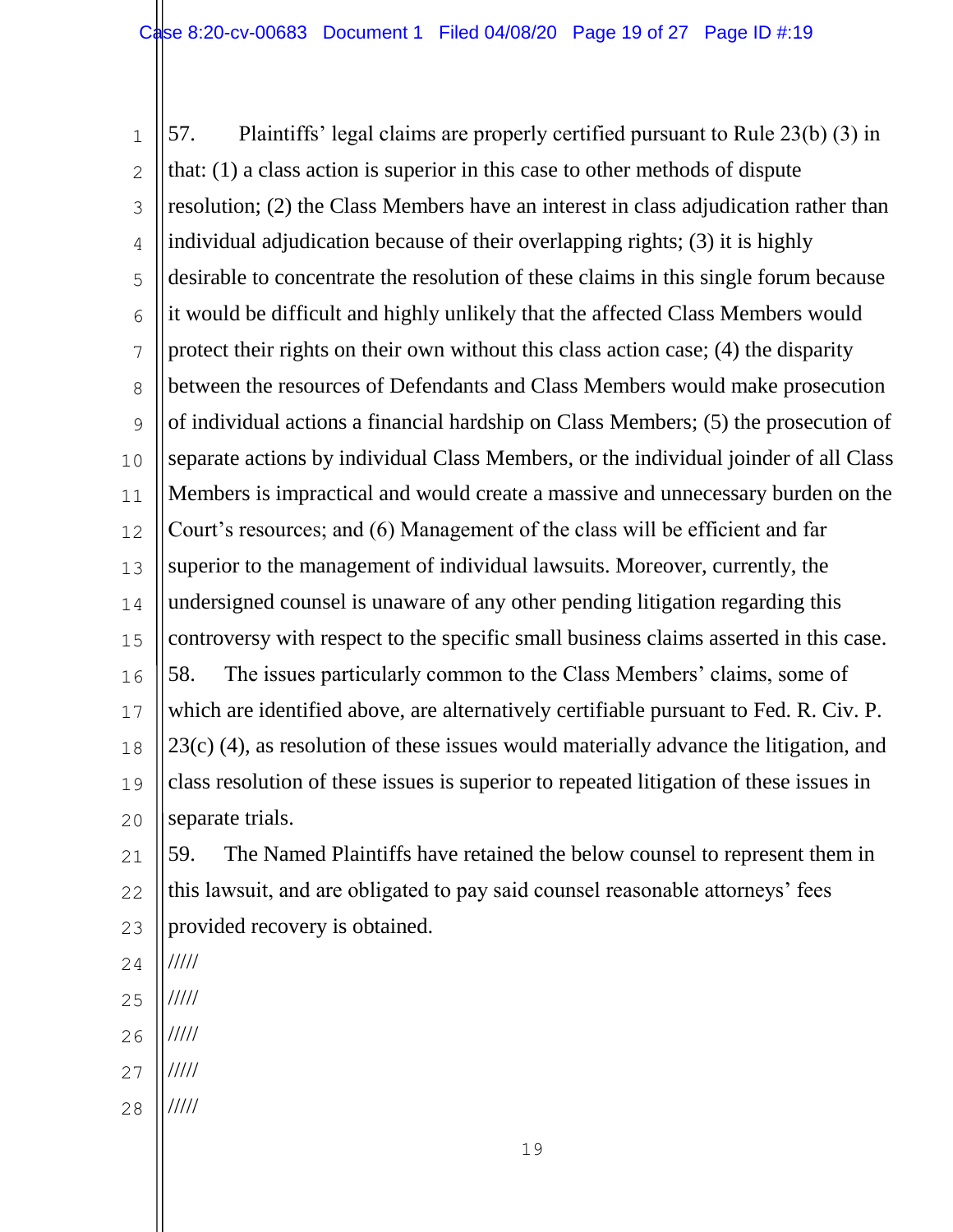1 2 3 4 5 6 7 8  $\mathsf{Q}$ 10 11 12 13 14 15 16 17 18 19 20 57. Plaintiffs' legal claims are properly certified pursuant to Rule 23(b) (3) in that: (1) a class action is superior in this case to other methods of dispute resolution; (2) the Class Members have an interest in class adjudication rather than individual adjudication because of their overlapping rights; (3) it is highly desirable to concentrate the resolution of these claims in this single forum because it would be difficult and highly unlikely that the affected Class Members would protect their rights on their own without this class action case; (4) the disparity between the resources of Defendants and Class Members would make prosecution of individual actions a financial hardship on Class Members; (5) the prosecution of separate actions by individual Class Members, or the individual joinder of all Class Members is impractical and would create a massive and unnecessary burden on the Court's resources; and (6) Management of the class will be efficient and far superior to the management of individual lawsuits. Moreover, currently, the undersigned counsel is unaware of any other pending litigation regarding this controversy with respect to the specific small business claims asserted in this case. 58. The issues particularly common to the Class Members' claims, some of which are identified above, are alternatively certifiable pursuant to Fed. R. Civ. P. 23(c) (4), as resolution of these issues would materially advance the litigation, and class resolution of these issues is superior to repeated litigation of these issues in separate trials.

21 22 23 59. The Named Plaintiffs have retained the below counsel to represent them in this lawsuit, and are obligated to pay said counsel reasonable attorneys' fees provided recovery is obtained.

- 24 /////
- 25 /////
- 26 /////
- 27 /////
- 28 /////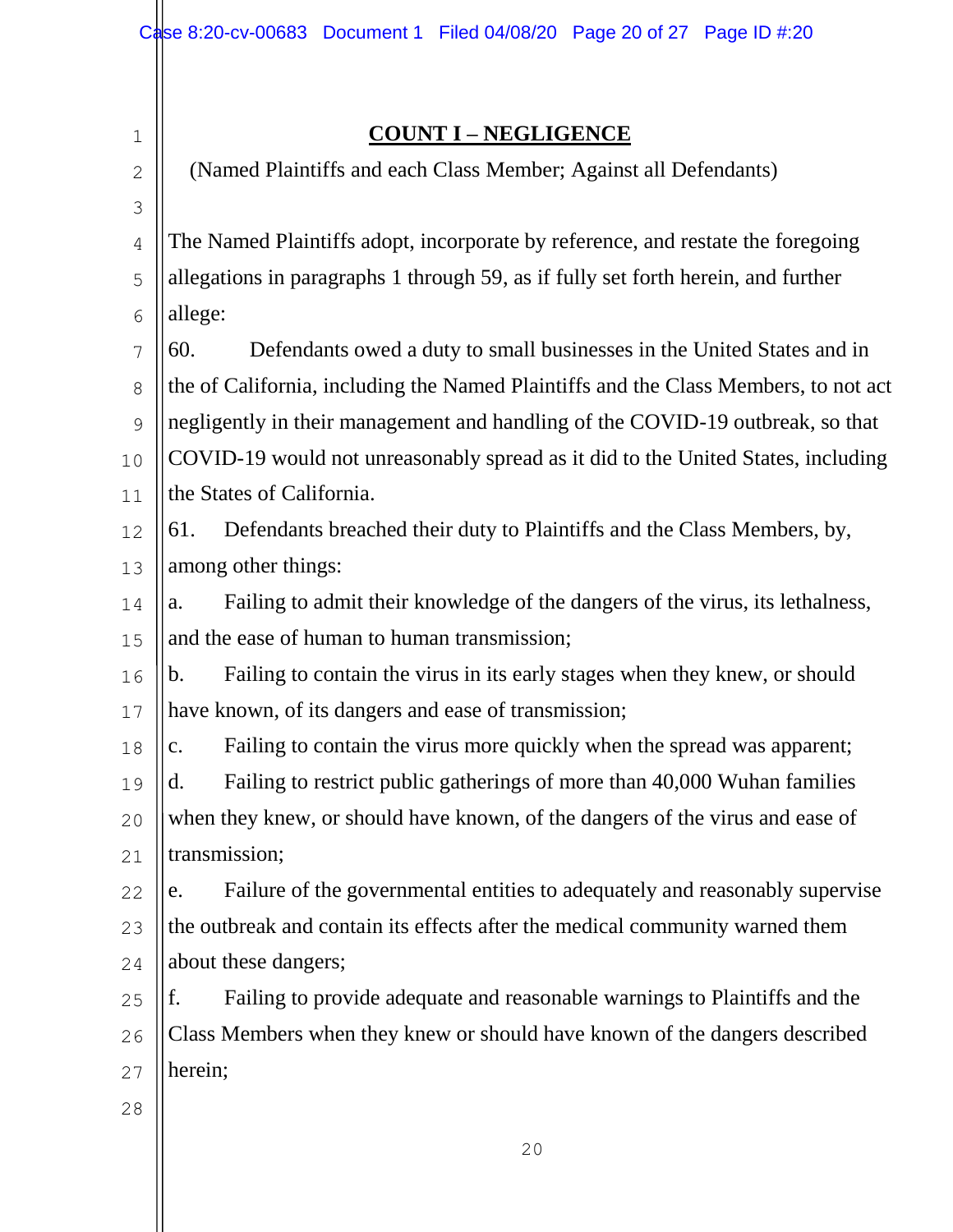#### 1 2 3 4 5 6 7 8 9 10 11 12 13 14 15 16 17 18 19 20 21 22 23 24 25 26 27 28 **COUNT I – NEGLIGENCE**  (Named Plaintiffs and each Class Member; Against all Defendants) The Named Plaintiffs adopt, incorporate by reference, and restate the foregoing allegations in paragraphs 1 through 59, as if fully set forth herein, and further allege: 60. Defendants owed a duty to small businesses in the United States and in the of California, including the Named Plaintiffs and the Class Members, to not act negligently in their management and handling of the COVID-19 outbreak, so that COVID-19 would not unreasonably spread as it did to the United States, including the States of California. 61. Defendants breached their duty to Plaintiffs and the Class Members, by, among other things: a. Failing to admit their knowledge of the dangers of the virus, its lethalness, and the ease of human to human transmission; b. Failing to contain the virus in its early stages when they knew, or should have known, of its dangers and ease of transmission; c. Failing to contain the virus more quickly when the spread was apparent; d. Failing to restrict public gatherings of more than 40,000 Wuhan families when they knew, or should have known, of the dangers of the virus and ease of transmission; e. Failure of the governmental entities to adequately and reasonably supervise the outbreak and contain its effects after the medical community warned them about these dangers; f. Failing to provide adequate and reasonable warnings to Plaintiffs and the Class Members when they knew or should have known of the dangers described herein;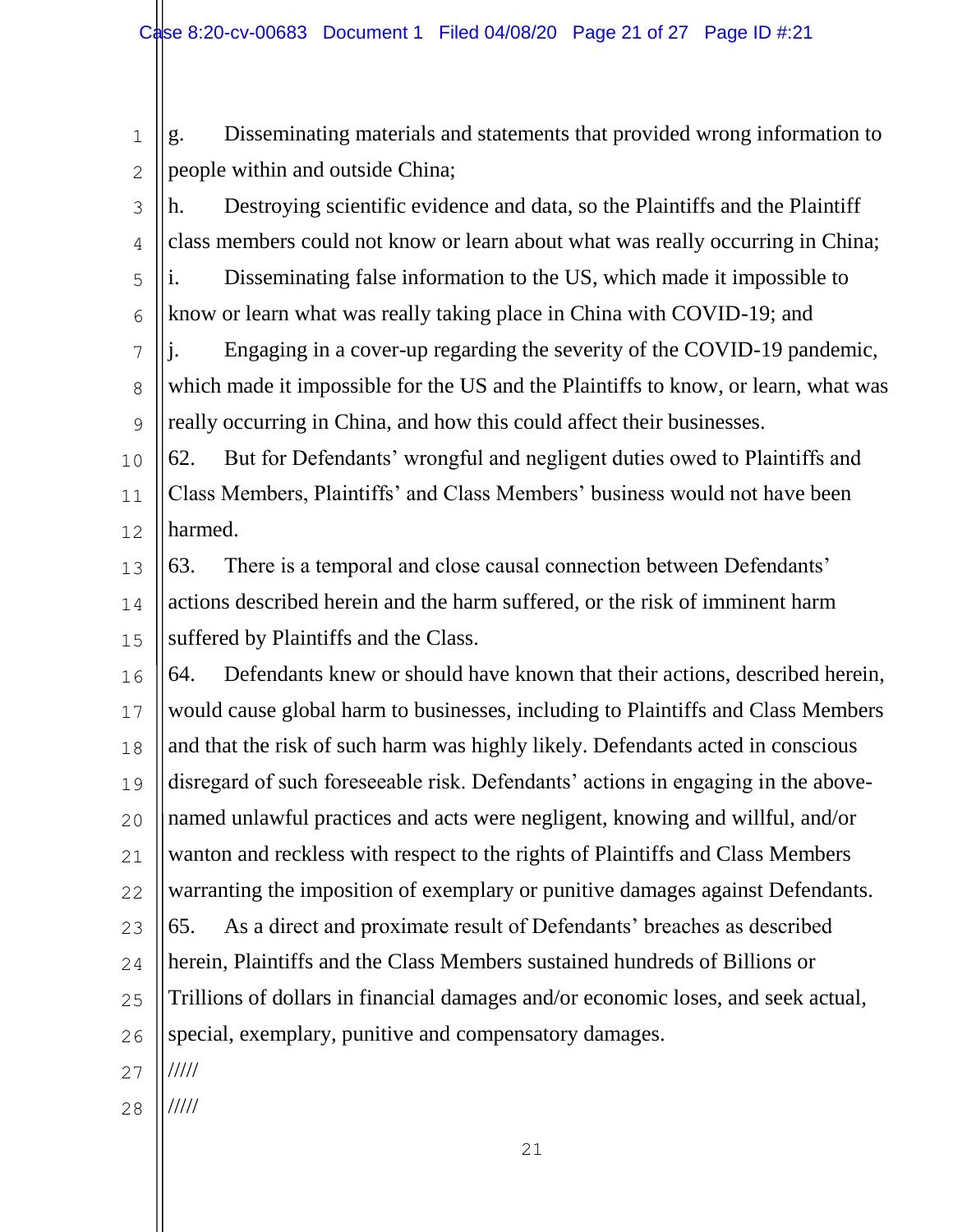1 2 g. Disseminating materials and statements that provided wrong information to people within and outside China;

3 4 5 6 h. Destroying scientific evidence and data, so the Plaintiffs and the Plaintiff class members could not know or learn about what was really occurring in China; i. Disseminating false information to the US, which made it impossible to know or learn what was really taking place in China with COVID-19; and

7 8  $\mathsf{Q}$ j. Engaging in a cover-up regarding the severity of the COVID-19 pandemic, which made it impossible for the US and the Plaintiffs to know, or learn, what was really occurring in China, and how this could affect their businesses.

10 11 12 62. But for Defendants' wrongful and negligent duties owed to Plaintiffs and Class Members, Plaintiffs' and Class Members' business would not have been harmed.

13 14 15 63. There is a temporal and close causal connection between Defendants' actions described herein and the harm suffered, or the risk of imminent harm suffered by Plaintiffs and the Class.

16 17 18 19 20 21 22 23 24 25 26 27 64. Defendants knew or should have known that their actions, described herein, would cause global harm to businesses, including to Plaintiffs and Class Members and that the risk of such harm was highly likely. Defendants acted in conscious disregard of such foreseeable risk. Defendants' actions in engaging in the abovenamed unlawful practices and acts were negligent, knowing and willful, and/or wanton and reckless with respect to the rights of Plaintiffs and Class Members warranting the imposition of exemplary or punitive damages against Defendants. 65. As a direct and proximate result of Defendants' breaches as described herein, Plaintiffs and the Class Members sustained hundreds of Billions or Trillions of dollars in financial damages and/or economic loses, and seek actual, special, exemplary, punitive and compensatory damages. /////

28 /////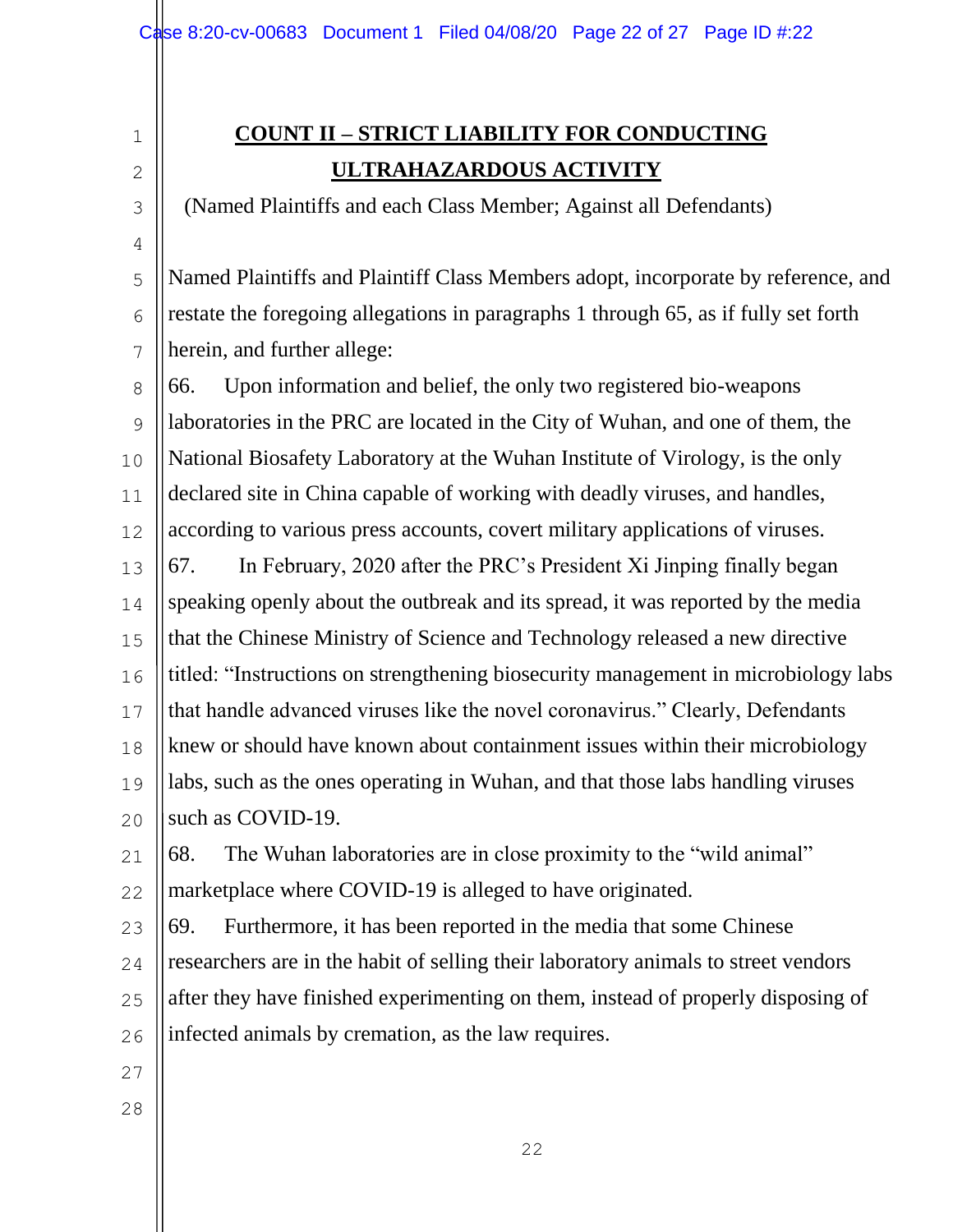# **COUNT II – STRICT LIABILITY FOR CONDUCTING ULTRAHAZARDOUS ACTIVITY**

(Named Plaintiffs and each Class Member; Against all Defendants)

5 6 7 Named Plaintiffs and Plaintiff Class Members adopt, incorporate by reference, and restate the foregoing allegations in paragraphs 1 through 65, as if fully set forth herein, and further allege:

8 9 10 11 12 13 14 15 16 17 18 19 20 66. Upon information and belief, the only two registered bio-weapons laboratories in the PRC are located in the City of Wuhan, and one of them, the National Biosafety Laboratory at the Wuhan Institute of Virology, is the only declared site in China capable of working with deadly viruses, and handles, according to various press accounts, covert military applications of viruses. 67. In February, 2020 after the PRC's President Xi Jinping finally began speaking openly about the outbreak and its spread, it was reported by the media that the Chinese Ministry of Science and Technology released a new directive titled: "Instructions on strengthening biosecurity management in microbiology labs that handle advanced viruses like the novel coronavirus." Clearly, Defendants knew or should have known about containment issues within their microbiology labs, such as the ones operating in Wuhan, and that those labs handling viruses such as COVID-19.

21 22 68. The Wuhan laboratories are in close proximity to the "wild animal" marketplace where COVID-19 is alleged to have originated.

23 24 25 26 69. Furthermore, it has been reported in the media that some Chinese researchers are in the habit of selling their laboratory animals to street vendors after they have finished experimenting on them, instead of properly disposing of infected animals by cremation, as the law requires.

27

1

2

3

4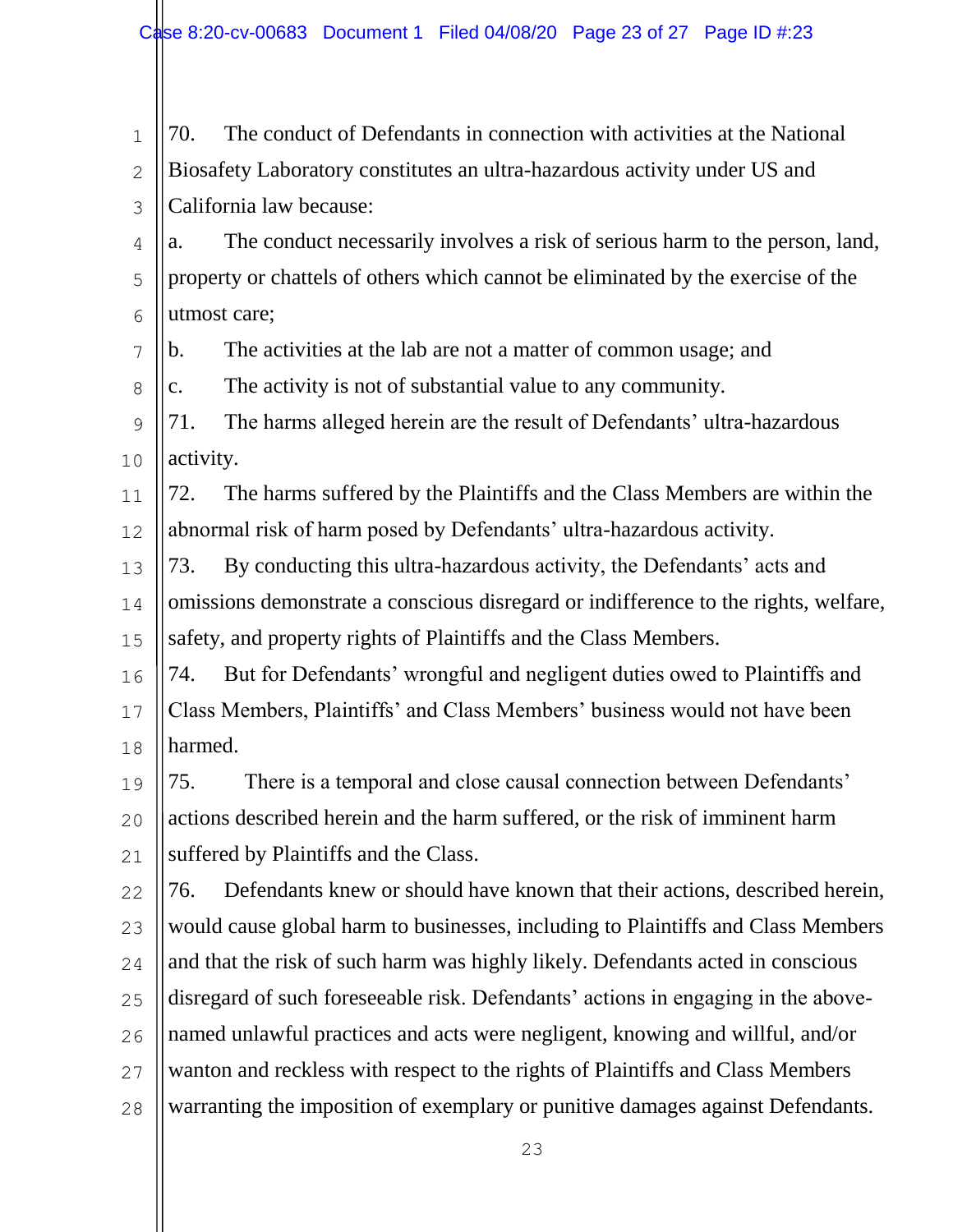| $\mathbf 1$   | 70.<br>The conduct of Defendants in connection with activities at the National      |
|---------------|-------------------------------------------------------------------------------------|
| $\mathbf{2}$  | Biosafety Laboratory constitutes an ultra-hazardous activity under US and           |
| 3             | California law because:                                                             |
| 4             | The conduct necessarily involves a risk of serious harm to the person, land,<br>a.  |
| 5             | property or chattels of others which cannot be eliminated by the exercise of the    |
| 6             | utmost care;                                                                        |
| 7             | The activities at the lab are not a matter of common usage; and<br>b.               |
| $8\,$         | The activity is not of substantial value to any community.<br>$\mathbf{c}$ .        |
| $\mathcal{G}$ | The harms alleged herein are the result of Defendants' ultra-hazardous<br>71.       |
| 10            | activity.                                                                           |
| 11            | The harms suffered by the Plaintiffs and the Class Members are within the<br>72.    |
| 12            | abnormal risk of harm posed by Defendants' ultra-hazardous activity.                |
| 13            | By conducting this ultra-hazardous activity, the Defendants' acts and<br>73.        |
| 14            | omissions demonstrate a conscious disregard or indifference to the rights, welfare, |
| 15            | safety, and property rights of Plaintiffs and the Class Members.                    |
| 16            | But for Defendants' wrongful and negligent duties owed to Plaintiffs and<br>74.     |
| 17            | Class Members, Plaintiffs' and Class Members' business would not have been          |
| 18            | harmed.                                                                             |
| 19            | There is a temporal and close causal connection between Defendants'<br>75.          |
| 20            | actions described herein and the harm suffered, or the risk of imminent harm        |
| 21            | suffered by Plaintiffs and the Class.                                               |
| 22            | Defendants knew or should have known that their actions, described herein,<br>76.   |
| 23            | would cause global harm to businesses, including to Plaintiffs and Class Members    |
| 24            | and that the risk of such harm was highly likely. Defendants acted in conscious     |
| 25            | disregard of such foreseeable risk. Defendants' actions in engaging in the above-   |
| 26            | named unlawful practices and acts were negligent, knowing and willful, and/or       |
| 27            | wanton and reckless with respect to the rights of Plaintiffs and Class Members      |
| 28            | warranting the imposition of exemplary or punitive damages against Defendants.      |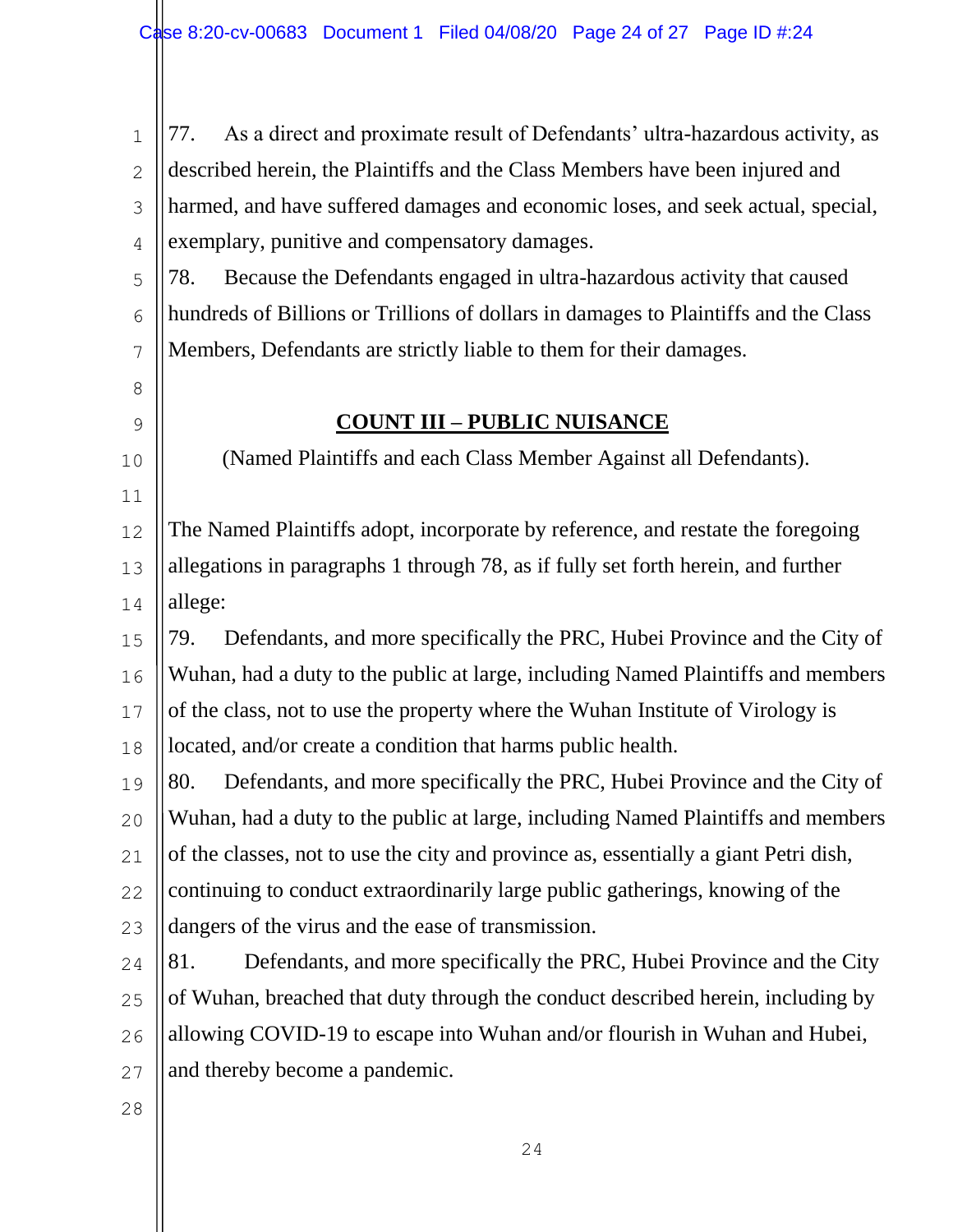|          | $\parallel$ 1   77. As a direct and proximate result of Defendants' ultra-hazardous activity, as |
|----------|--------------------------------------------------------------------------------------------------|
|          | 2 $\parallel$ described herein, the Plaintiffs and the Class Members have been injured and       |
|          | 3    harmed, and have suffered damages and economic loses, and seek actual, special,             |
|          | $\frac{1}{4}$ exemplary, punitive and compensatory damages.                                      |
|          | $\frac{1}{5}$ 78. Because the Defendants engaged in ultra-hazardous activity that caused         |
| $6 \mid$ | hundreds of Billions or Trillions of dollars in damages to Plaintiffs and the Class              |
|          | $\frac{1}{7}$   Members, Defendants are strictly liable to them for their damages.               |

10

11

## **COUNT III – PUBLIC NUISANCE**

(Named Plaintiffs and each Class Member Against all Defendants).

12 13 14 The Named Plaintiffs adopt, incorporate by reference, and restate the foregoing allegations in paragraphs 1 through 78, as if fully set forth herein, and further allege:

15 16 17 18 79. Defendants, and more specifically the PRC, Hubei Province and the City of Wuhan, had a duty to the public at large, including Named Plaintiffs and members of the class, not to use the property where the Wuhan Institute of Virology is located, and/or create a condition that harms public health.

19 20 21 22 80. Defendants, and more specifically the PRC, Hubei Province and the City of Wuhan, had a duty to the public at large, including Named Plaintiffs and members of the classes, not to use the city and province as, essentially a giant Petri dish, continuing to conduct extraordinarily large public gatherings, knowing of the

23 dangers of the virus and the ease of transmission.

24 25 26 27 81. Defendants, and more specifically the PRC, Hubei Province and the City of Wuhan, breached that duty through the conduct described herein, including by allowing COVID-19 to escape into Wuhan and/or flourish in Wuhan and Hubei, and thereby become a pandemic.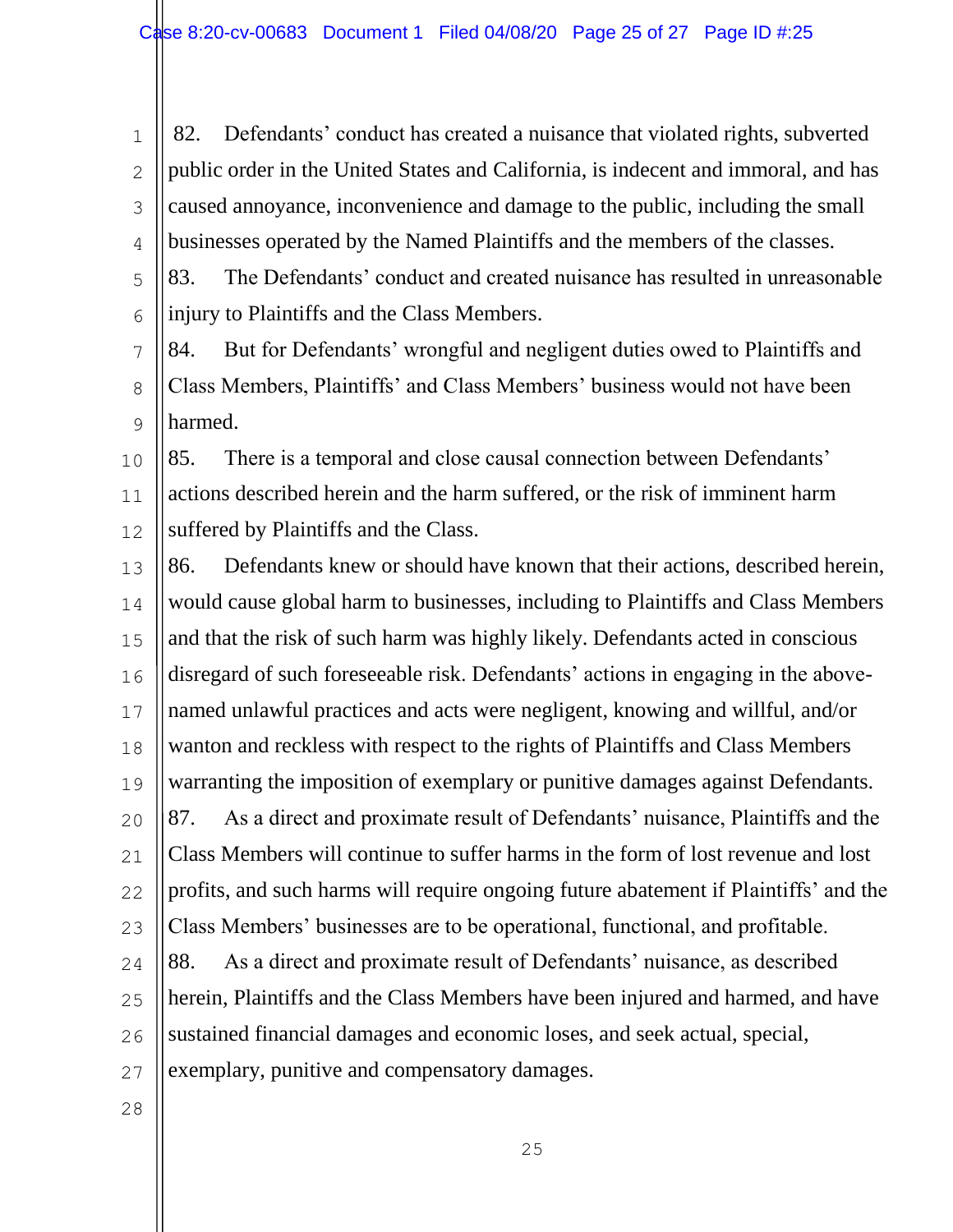1 2 3 4 5 6 82. Defendants' conduct has created a nuisance that violated rights, subverted public order in the United States and California, is indecent and immoral, and has caused annoyance, inconvenience and damage to the public, including the small businesses operated by the Named Plaintiffs and the members of the classes. 83. The Defendants' conduct and created nuisance has resulted in unreasonable injury to Plaintiffs and the Class Members.

7 8  $\mathsf{Q}$ 84. But for Defendants' wrongful and negligent duties owed to Plaintiffs and Class Members, Plaintiffs' and Class Members' business would not have been harmed.

10 11 12 85. There is a temporal and close causal connection between Defendants' actions described herein and the harm suffered, or the risk of imminent harm suffered by Plaintiffs and the Class.

13 14 15 16 17 18 19 20 21 22 23 24 25 26 27 86. Defendants knew or should have known that their actions, described herein, would cause global harm to businesses, including to Plaintiffs and Class Members and that the risk of such harm was highly likely. Defendants acted in conscious disregard of such foreseeable risk. Defendants' actions in engaging in the abovenamed unlawful practices and acts were negligent, knowing and willful, and/or wanton and reckless with respect to the rights of Plaintiffs and Class Members warranting the imposition of exemplary or punitive damages against Defendants. 87. As a direct and proximate result of Defendants' nuisance, Plaintiffs and the Class Members will continue to suffer harms in the form of lost revenue and lost profits, and such harms will require ongoing future abatement if Plaintiffs' and the Class Members' businesses are to be operational, functional, and profitable. 88. As a direct and proximate result of Defendants' nuisance, as described herein, Plaintiffs and the Class Members have been injured and harmed, and have sustained financial damages and economic loses, and seek actual, special, exemplary, punitive and compensatory damages.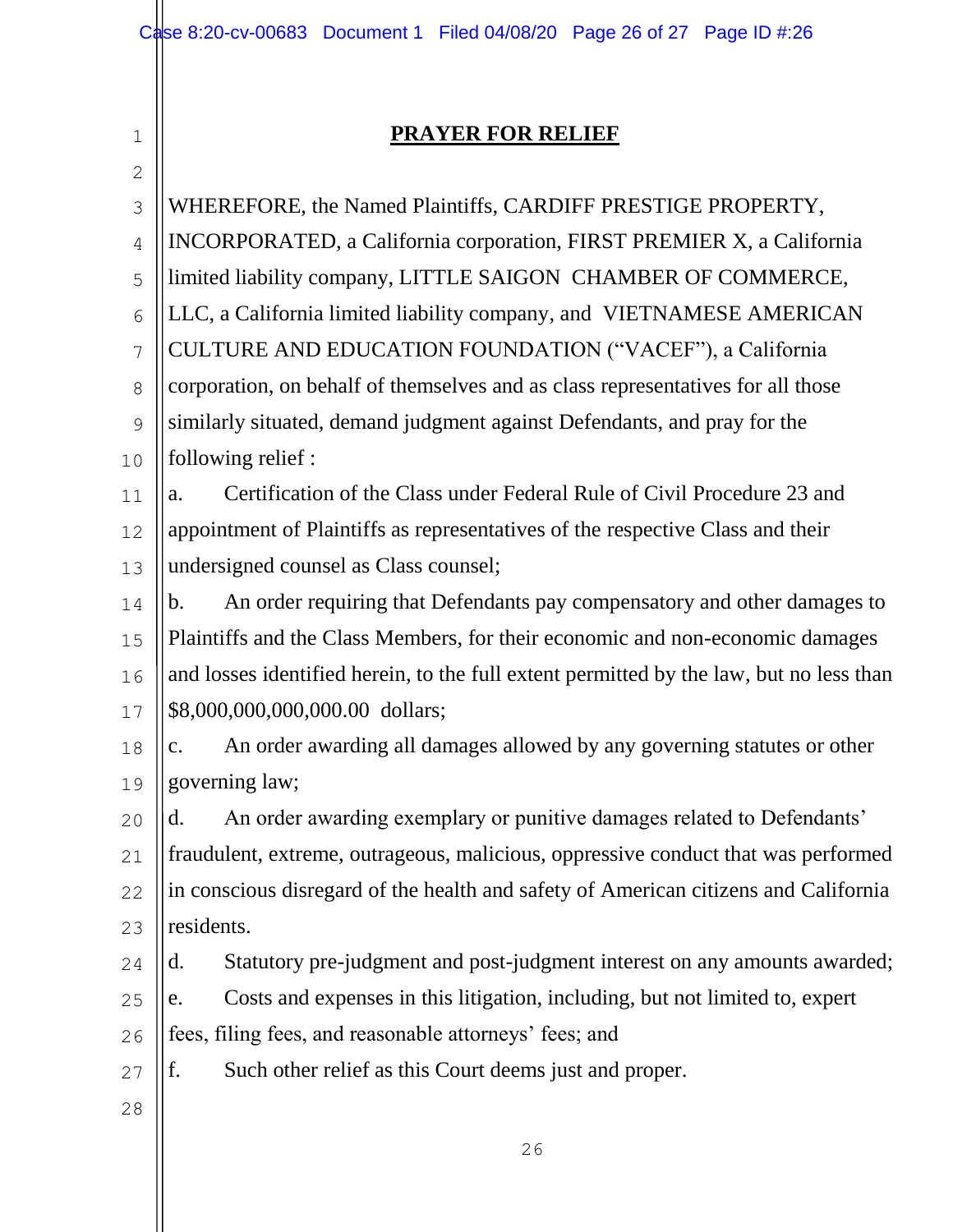# **PRAYER FOR RELIEF**

| $\mathbf{2}$   |                                                                                            |
|----------------|--------------------------------------------------------------------------------------------|
| 3              | WHEREFORE, the Named Plaintiffs, CARDIFF PRESTIGE PROPERTY,                                |
| $\overline{4}$ | <b>INCORPORATED, a California corporation, FIRST PREMIER X, a California</b>               |
| 5              | limited liability company, LITTLE SAIGON CHAMBER OF COMMERCE,                              |
| 6              | LLC, a California limited liability company, and VIETNAMESE AMERICAN                       |
| $\overline{7}$ | CULTURE AND EDUCATION FOUNDATION ("VACEF"), a California                                   |
| 8              | corporation, on behalf of themselves and as class representatives for all those            |
| 9              | similarly situated, demand judgment against Defendants, and pray for the                   |
| 10             | following relief :                                                                         |
| 11             | Certification of the Class under Federal Rule of Civil Procedure 23 and<br>a.              |
| 12             | appointment of Plaintiffs as representatives of the respective Class and their             |
| 13             | undersigned counsel as Class counsel;                                                      |
| 14             | An order requiring that Defendants pay compensatory and other damages to<br>b.             |
| 15             | Plaintiffs and the Class Members, for their economic and non-economic damages              |
| 16             | and losses identified herein, to the full extent permitted by the law, but no less than    |
| 17             | \$8,000,000,000,000.00 dollars;                                                            |
| 18             | An order awarding all damages allowed by any governing statutes or other<br>$\mathbf{c}$ . |
| 19             | governing law;                                                                             |
| 20             | An order awarding exemplary or punitive damages related to Defendants'<br>d.               |
| 21             | fraudulent, extreme, outrageous, malicious, oppressive conduct that was performed          |
| 22             | in conscious disregard of the health and safety of American citizens and California        |
| 23             | residents.                                                                                 |
| 24             | Statutory pre-judgment and post-judgment interest on any amounts awarded;<br>d.            |
| 25             | Costs and expenses in this litigation, including, but not limited to, expert<br>e.         |
| 26             | fees, filing fees, and reasonable attorneys' fees; and                                     |
| 27             | f.<br>Such other relief as this Court deems just and proper.                               |
| 28             |                                                                                            |
|                |                                                                                            |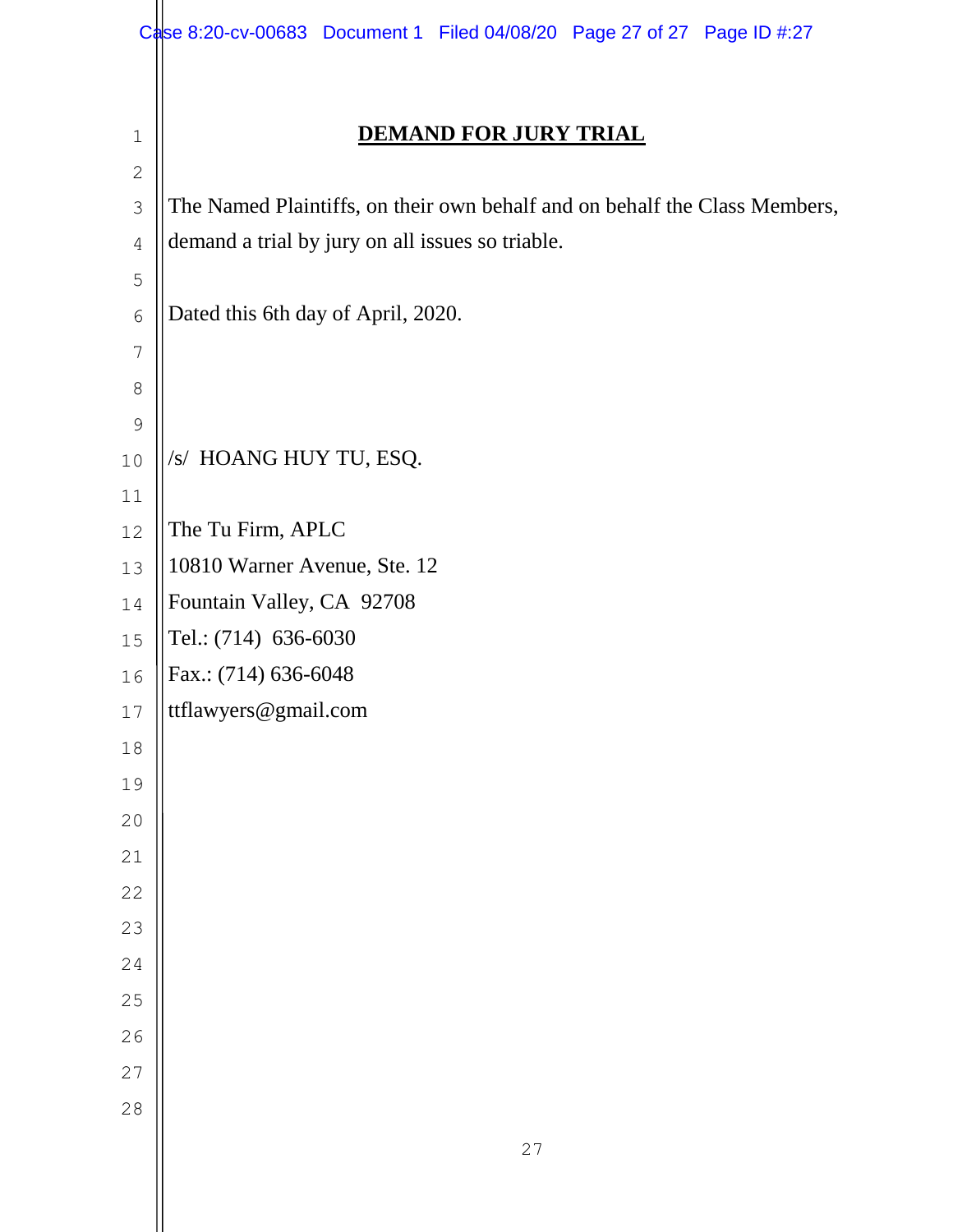|                | Case 8:20-cv-00683 Document 1 Filed 04/08/20 Page 27 of 27 Page ID #:27    |
|----------------|----------------------------------------------------------------------------|
|                |                                                                            |
| $1\,$          | <b>DEMAND FOR JURY TRIAL</b>                                               |
| $\sqrt{2}$     |                                                                            |
| $\mathfrak{Z}$ | The Named Plaintiffs, on their own behalf and on behalf the Class Members, |
| $\overline{4}$ | demand a trial by jury on all issues so triable.                           |
| 5              |                                                                            |
| $\epsilon$     | Dated this 6th day of April, 2020.                                         |
| 7              |                                                                            |
| $\,8\,$        |                                                                            |
| $\mathsf 9$    |                                                                            |
| 10             | /s/ HOANG HUY TU, ESQ.                                                     |
| 11             |                                                                            |
| 12             | The Tu Firm, APLC                                                          |
| 13             | 10810 Warner Avenue, Ste. 12                                               |
| 14             | Fountain Valley, CA 92708                                                  |
| 15             | Tel.: (714) 636-6030                                                       |
| 16             | Fax.: (714) 636-6048                                                       |
| $17$           | ttflawyers@gmail.com                                                       |
| $18\,$         |                                                                            |
| 19             |                                                                            |
| 20             |                                                                            |
| 21             |                                                                            |
| 22             |                                                                            |
| 23             |                                                                            |
| 24             |                                                                            |
| 25             |                                                                            |
| 26             |                                                                            |
| 27             |                                                                            |
| 28             |                                                                            |
|                | 27                                                                         |